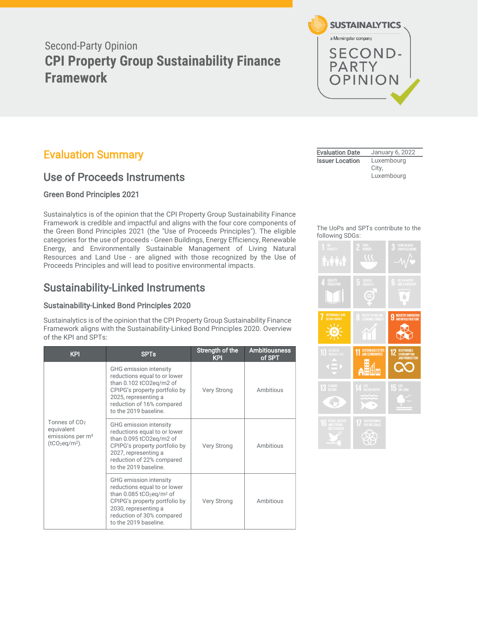# Second-Party Opinion **CPI Property Group Sustainability Finance Framework**

# <span id="page-0-0"></span>Evaluation Summary

# Use of Proceeds Instruments

# Green Bond Principles 2021

Sustainalytics is of the opinion that the CPI Property Group Sustainability Finance Framework is credible and impactful and aligns with the four core components of the Green Bond Principles 2021 (the "Use of Proceeds Principles"). The eligible categories for the use of proceeds - Green Buildings, Energy Efficiency, Renewable Energy, and Environmentally Sustainable Management of Living Natural Resources and Land Use - are aligned with those recognized by the Use of Proceeds Principles and will lead to positive environmental impacts.

# Sustainability-Linked Instruments

# Sustainability-Linked Bond Principles 2020

Sustainalytics is of the opinion that the CPI Property Group Sustainability Finance Framework aligns with the Sustainability-Linked Bond Principles 2020. Overview of the KPI and SPTs:

| <b>KPI</b>                                                                                  | <b>SPTs</b>                                                                                                                                                                                                                 | Strength of the<br><b>KPI</b> | <b>Ambitiousness</b><br>of SPT |
|---------------------------------------------------------------------------------------------|-----------------------------------------------------------------------------------------------------------------------------------------------------------------------------------------------------------------------------|-------------------------------|--------------------------------|
|                                                                                             | GHG emission intensity<br>reductions equal to or lower<br>than 0.102 tCO2eq/m2 of<br>CPIPG's property portfolio by<br>2025, representing a<br>reduction of 16% compared<br>to the 2019 baseline.                            | <b>Very Strong</b>            | Ambitious                      |
| Tonnes of CO <sub>2</sub><br>equivalent<br>emissions per m <sup>2</sup><br>$(tCO_2eq/m2)$ . | GHG emission intensity<br>reductions equal to or lower<br>than 0.095 tCO2eg/m2 of<br>CPIPG's property portfolio by<br>2027, representing a<br>reduction of 22% compared<br>to the 2019 baseline.                            | <b>Very Strong</b>            | Ambitious                      |
|                                                                                             | GHG emission intensity<br>reductions equal to or lower<br>than $0.085$ tCO <sub>2</sub> eq/m <sup>2</sup> of<br>CPIPG's property portfolio by<br>2030, representing a<br>reduction of 30% compared<br>to the 2019 baseline. | Very Strong                   | Ambitious                      |



| <b>Evaluation Date</b> | January 6, 2022     |
|------------------------|---------------------|
| <b>Issuer Location</b> | Luxembourg<br>City, |
|                        | Luxembourg          |

### The UoPs and SPTs contribute to the following SDGs:

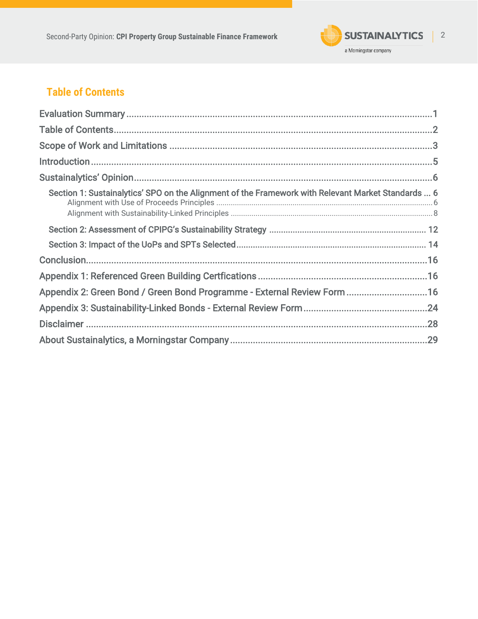

# <span id="page-1-0"></span>**Table of Contents**

| Section 1: Sustainalytics' SPO on the Alignment of the Framework with Relevant Market Standards  6 |
|----------------------------------------------------------------------------------------------------|
|                                                                                                    |
|                                                                                                    |
|                                                                                                    |
|                                                                                                    |
| Appendix 2: Green Bond / Green Bond Programme - External Review Form 16                            |
|                                                                                                    |
|                                                                                                    |
|                                                                                                    |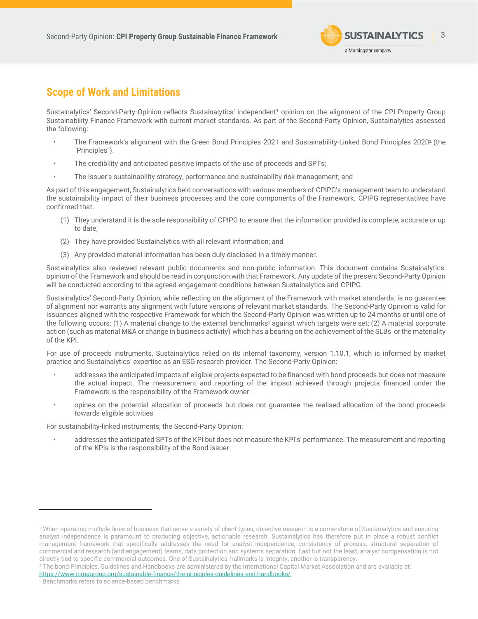

# <span id="page-2-0"></span>**Scope of Work and Limitations**

Sustainalytics' Second-Party Opinion reflects Sustainalytics' independent<sup>1</sup> opinion on the alignment of the CPI Property Group Sustainability Finance Framework with current market standards. As part of the Second-Party Opinion, Sustainalytics assessed the following:

- The Framework's alignment with the Green Bond Principles 2021 and Sustainability-Linked Bond Principles 20202, (the "Principles").
- The credibility and anticipated positive impacts of the use of proceeds and SPTs;
- The Issuer's sustainability strategy, performance and sustainability risk management; and

As part of this engagement, Sustainalytics held conversations with various members of CPIPG's management team to understand the sustainability impact of their business processes and the core components of the Framework. CPIPG representatives have confirmed that:

- (1) They understand it is the sole responsibility of CPIPG to ensure that the information provided is complete, accurate or up to date;
- (2) They have provided Sustainalytics with all relevant information; and
- (3) Any provided material information has been duly disclosed in a timely manner.

Sustainalytics also reviewed relevant public documents and non-public information. This document contains Sustainalytics' opinion of the Framework and should be read in conjunction with that Framework. Any update of the present Second-Party Opinion will be conducted according to the agreed engagement conditions between Sustainalytics and CPIPG.

Sustainalytics' Second-Party Opinion, while reflecting on the alignment of the Framework with market standards, is no guarantee of alignment nor warrants any alignment with future versions of relevant market standards. The Second-Party Opinion is valid for issuances aligned with the respective Framework for which the Second-Party Opinion was written up to 24 months or until one of the following occurs: (1) A material change to the external benchmarks<sup>3</sup> against which targets were set; (2) A material corporate action (such as material M&A or change in business activity) which has a bearing on the achievement of the SLBs or the materiality of the KPI.

For use of proceeds instruments, Sustainalytics relied on its internal taxonomy, version 1.10.1, which is informed by market practice and Sustainalytics' expertise as an ESG research provider. The Second-Party Opinion:

- addresses the anticipated impacts of eligible projects expected to be financed with bond proceeds but does not measure the actual impact. The measurement and reporting of the impact achieved through projects financed under the Framework is the responsibility of the Framework owner.
- opines on the potential allocation of proceeds but does not guarantee the realised allocation of the bond proceeds towards eligible activities

For sustainability-linked instruments, the Second-Party Opinion:

• addresses the anticipated SPTs of the KPI but does not measure the KPI's' performance. The measurement and reporting of the KPIs is the responsibility of the Bond issuer.

<sup>1</sup> When operating multiple lines of business that serve a variety of client types, objective research is a cornerstone of Sustainalytics and ensuring analyst independence is paramount to producing objective, actionable research. Sustainalytics has therefore put in place a robust conflict management framework that specifically addresses the need for analyst independence, consistency of process, structural separation of commercial and research (and engagement) teams, data protection and systems separation. Last but not the least, analyst compensation is not directly tied to specific commercial outcomes. One of Sustainalytics' hallmarks is integrity, another is transparency.

<sup>2</sup> The bond Principles, Guidelines and Handbooks are administered by the International Capital Market Association and are available at: <https://www.icmagroup.org/sustainable-finance/the-principles-guidelines-and-handbooks/>

<sup>&</sup>lt;sup>3</sup> Benchmarks refers to science-based benchmarks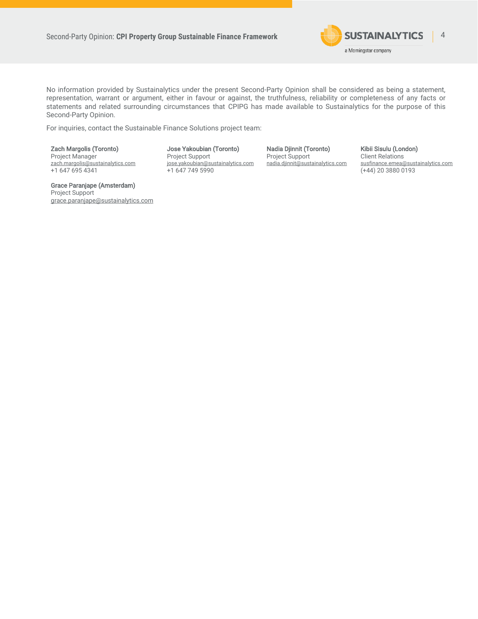

No information provided by Sustainalytics under the present Second-Party Opinion shall be considered as being a statement, representation, warrant or argument, either in favour or against, the truthfulness, reliability or completeness of any facts or statements and related surrounding circumstances that CPIPG has made available to Sustainalytics for the purpose of this Second-Party Opinion.

For inquiries, contact the Sustainable Finance Solutions project team:

Zach Margolis (Toronto) Project Manager [zach.margolis@sustainalytics.com](mailto:zach.margolis@sustainalytics.com) +1 647 695 4341

Grace Paranjape (Amsterdam) Project Support [grace.paranjape@sustainalytics.com](mailto:grace.paranjape@sustainalytics.com)

Jose Yakoubian (Toronto) Project Support [jose.yakoubian@sustainalytics.com](mailto:jose.yakoubian@sustainalytics.com) +1 647 749 5990

Nadia Djinnit (Toronto) Project Support [nadia.djinnit@sustainalytics.com](mailto:nadia.djinnit@sustainalytics.com) Kibii Sisulu (London) Client Relations susfinance.emea@sustainalytics.com (+44) 20 3880 0193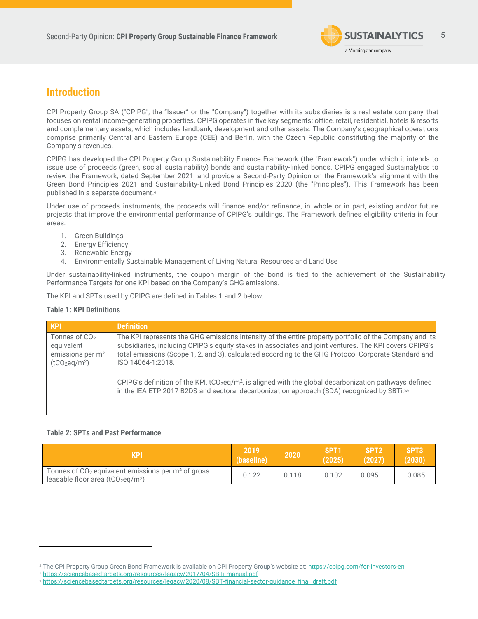

# <span id="page-4-0"></span>**Introduction**

CPI Property Group SA ("CPIPG", the "Issuer" or the "Company") together with its subsidiaries is a real estate company that focuses on rental income-generating properties. CPIPG operates in five key segments: office, retail, residential, hotels & resorts and complementary assets, which includes landbank, development and other assets. The Company's geographical operations comprise primarily Central and Eastern Europe (CEE) and Berlin, with the Czech Republic constituting the majority of the Company's revenues.

CPIPG has developed the CPI Property Group Sustainability Finance Framework (the "Framework") under which it intends to issue use of proceeds (green, social, sustainability) bonds and sustainability-linked bonds. CPIPG engaged Sustainalytics to review the Framework, dated September 2021, and provide a Second-Party Opinion on the Framework's alignment with the Green Bond Principles 2021 and Sustainability-Linked Bond Principles 2020 (the "Principles"). This Framework has been published in a separate document.<sup>4</sup>

Under use of proceeds instruments, the proceeds will finance and/or refinance, in whole or in part, existing and/or future projects that improve the environmental performance of CPIPG's buildings. The Framework defines eligibility criteria in four areas:

- <span id="page-4-1"></span>1. Green Buildings
- 2. Energy Efficiency
- 3. Renewable Energy
- 4. Environmentally Sustainable Management of Living Natural Resources and Land Use

Under sustainability-linked instruments, the coupon margin of the bond is tied to the achievement of the Sustainability Performance Targets for one KPI based on the Company's GHG emissions.

The KPI and SPTs used by CPIPG are defined in Tables 1 and 2 below.

## **Table 1: KPI Definitions**

| <b>KPI</b>                                                                                             | <b>Definition</b>                                                                                                                                                                                                                                                                                                                             |
|--------------------------------------------------------------------------------------------------------|-----------------------------------------------------------------------------------------------------------------------------------------------------------------------------------------------------------------------------------------------------------------------------------------------------------------------------------------------|
| Tonnes of $CO2$<br>equivalent<br>emissions per m <sup>2</sup><br>(tCO <sub>2</sub> eq/m <sup>2</sup> ) | The KPI represents the GHG emissions intensity of the entire property portfolio of the Company and its<br>subsidiaries, including CPIPG's equity stakes in associates and joint ventures. The KPI covers CPIPG's<br>total emissions (Scope 1, 2, and 3), calculated according to the GHG Protocol Corporate Standard and<br>ISO 14064-1:2018. |
|                                                                                                        | CPIPG's definition of the KPI, tCO <sub>2</sub> eq/m <sup>2</sup> , is aligned with the global decarbonization pathways defined<br>in the IEA ETP 2017 B2DS and sectoral decarbonization approach (SDA) recognized by SBTi.56                                                                                                                 |

## **Table 2: SPTs and Past Performance**

| <b>KPI</b>                                                                                            | 2019<br>(baseline) | 2020  | SPT <sub>1</sub><br>(2025) | <b>SPT2</b><br>(2027) | SPT <sub>3</sub><br>(2030) |
|-------------------------------------------------------------------------------------------------------|--------------------|-------|----------------------------|-----------------------|----------------------------|
| Tonnes of $CO2$ equivalent emissions per m <sup>2</sup> of gross<br>leasable floor area $(tCO2eq/m2)$ | 0.122              | 0.118 | 0.102                      | 0.095                 | 0.085                      |

<sup>4</sup> The CPI Property Group Green Bond Framework is available on CPI Property Group's website at: https://cpipg.com/for-investors-en

<sup>5</sup> <https://sciencebasedtargets.org/resources/legacy/2017/04/SBTi-manual.pdf>

<sup>6</sup> [https://sciencebasedtargets.org/resources/legacy/2020/08/SBT-financial-sector-guidance\\_final\\_draft.pdf](https://sciencebasedtargets.org/resources/legacy/2020/08/SBT-financial-sector-guidance_final_draft.pdf)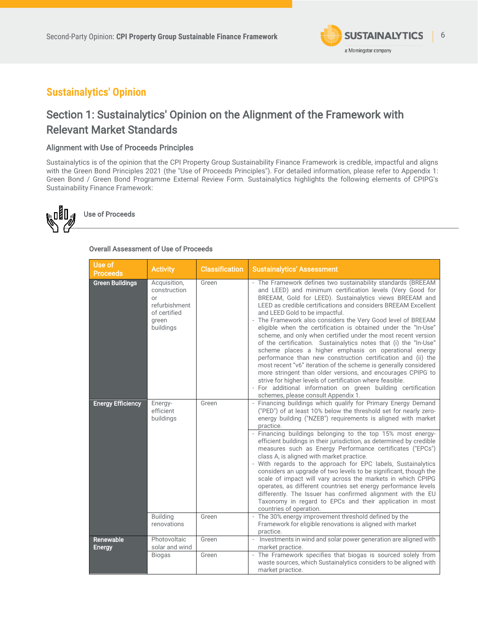

 $\overline{a}$ 

# <span id="page-5-0"></span>**Sustainalytics' Opinion**

# <span id="page-5-1"></span>Section 1: Sustainalytics' Opinion on the Alignment of the Framework with Relevant Market Standards

# <span id="page-5-2"></span>Alignment with Use of Proceeds Principles

Sustainalytics is of the opinion that the CPI Property Group Sustainability Finance Framework is credible, impactful and aligns with the Green Bond Principles 2021 (the "Use of Proceeds Principles"). For detailed information, please refer to Appendix 1: Green Bond / Green Bond Programme External Review Form. Sustainalytics highlights the following elements of CPIPG's Sustainability Finance Framework:



## Overall Assessment of Use of Proceeds

| - The Framework defines two sustainability standards (BREEAM<br>and LEED) and minimum certification levels (Very Good for<br>BREEAM, Gold for LEED). Sustainalytics views BREEAM and<br>LEED as credible certifications and considers BREEAM Excellent                                                                                                                                                                                                                                                                                                                                                                                                                                                                                                                                                                                                                                      |
|---------------------------------------------------------------------------------------------------------------------------------------------------------------------------------------------------------------------------------------------------------------------------------------------------------------------------------------------------------------------------------------------------------------------------------------------------------------------------------------------------------------------------------------------------------------------------------------------------------------------------------------------------------------------------------------------------------------------------------------------------------------------------------------------------------------------------------------------------------------------------------------------|
| and LEED Gold to be impactful.<br>- The Framework also considers the Very Good level of BREEAM<br>eligible when the certification is obtained under the "In-Use"<br>scheme, and only when certified under the most recent version<br>of the certification. Sustainalytics notes that (i) the "In-Use"<br>scheme places a higher emphasis on operational energy<br>performance than new construction certification and (ii) the<br>most recent "v6" iteration of the scheme is generally considered<br>more stringent than older versions, and encourages CPIPG to<br>strive for higher levels of certification where feasible.<br>- For additional information on green building certification<br>schemes, please consult Appendix 1.                                                                                                                                                       |
| - Financing buildings which qualify for Primary Energy Demand<br>("PED") of at least 10% below the threshold set for nearly zero-<br>energy building ("NZEB") requirements is aligned with market<br>practice.<br>- Financing buildings belonging to the top 15% most energy-<br>efficient buildings in their jurisdiction, as determined by credible<br>measures such as Energy Performance certificates ("EPCs")<br>class A, is aligned with market practice.<br>- With regards to the approach for EPC labels, Sustainalytics<br>considers an upgrade of two levels to be significant, though the<br>scale of impact will vary across the markets in which CPIPG<br>operates, as different countries set energy performance levels<br>differently. The Issuer has confirmed alignment with the EU<br>Taxonomy in regard to EPCs and their application in most<br>countries of operation. |
| - The 30% energy improvement threshold defined by the<br>Framework for eligible renovations is aligned with market<br>practice.                                                                                                                                                                                                                                                                                                                                                                                                                                                                                                                                                                                                                                                                                                                                                             |
| Investments in wind and solar power generation are aligned with<br>$\mathcal{L}_{\mathcal{A}}$<br>market practice.<br>- The Framework specifies that biogas is sourced solely from<br>waste sources, which Sustainalytics considers to be aligned with<br>market practice.                                                                                                                                                                                                                                                                                                                                                                                                                                                                                                                                                                                                                  |
|                                                                                                                                                                                                                                                                                                                                                                                                                                                                                                                                                                                                                                                                                                                                                                                                                                                                                             |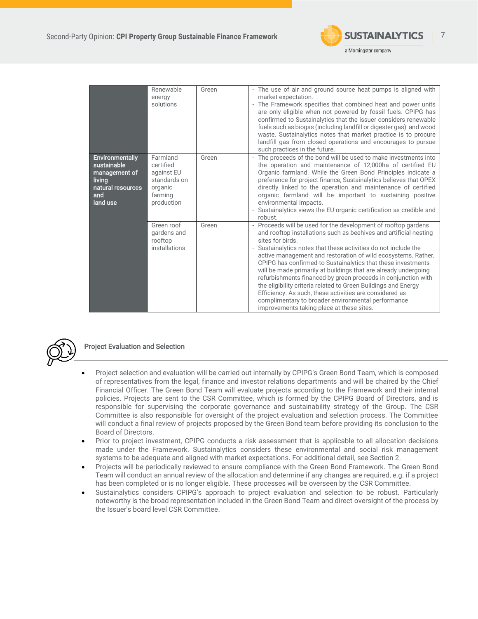

 $\overline{a}$ 

|                                                                                                          | Renewable<br>energy<br>solutions                                                        | Green | - The use of air and ground source heat pumps is aligned with<br>market expectation.<br>- The Framework specifies that combined heat and power units<br>are only eligible when not powered by fossil fuels. CPIPG has<br>confirmed to Sustainalytics that the issuer considers renewable<br>fuels such as biogas (including landfill or digester gas) and wood<br>waste. Sustainalytics notes that market practice is to procure<br>landfill gas from closed operations and encourages to pursue                                                                                                                                                                                                                              |
|----------------------------------------------------------------------------------------------------------|-----------------------------------------------------------------------------------------|-------|-------------------------------------------------------------------------------------------------------------------------------------------------------------------------------------------------------------------------------------------------------------------------------------------------------------------------------------------------------------------------------------------------------------------------------------------------------------------------------------------------------------------------------------------------------------------------------------------------------------------------------------------------------------------------------------------------------------------------------|
| <b>Environmentally</b><br>sustainable<br>management of<br>living<br>natural resources<br>and<br>land use | Farmland<br>certified<br>against EU<br>standards on<br>organic<br>farming<br>production | Green | such practices in the future.<br>The proceeds of the bond will be used to make investments into<br>the operation and maintenance of 12,000ha of certified EU<br>Organic farmland. While the Green Bond Principles indicate a<br>preference for project finance, Sustainalytics believes that OPEX<br>directly linked to the operation and maintenance of certified<br>organic farmland will be important to sustaining positive<br>environmental impacts.<br>- Sustainalytics views the EU organic certification as credible and<br>robust.                                                                                                                                                                                   |
|                                                                                                          | Green roof<br>gardens and<br>rooftop<br>installations                                   | Green | - Proceeds will be used for the development of rooftop gardens<br>and rooftop installations such as beehives and artificial nesting<br>sites for birds.<br>Sustainalytics notes that these activities do not include the<br>active management and restoration of wild ecosystems. Rather,<br>CPIPG has confirmed to Sustainalytics that these investments<br>will be made primarily at buildings that are already undergoing<br>refurbishments financed by green proceeds in conjunction with<br>the eligibility criteria related to Green Buildings and Energy<br>Efficiency. As such, these activities are considered as<br>complimentary to broader environmental performance<br>improvements taking place at these sites. |



# Project Evaluation and Selection

- Project selection and evaluation will be carried out internally by CPIPG's Green Bond Team, which is composed of representatives from the legal, finance and investor relations departments and will be chaired by the Chief Financial Officer. The Green Bond Team will evaluate projects according to the Framework and their internal policies. Projects are sent to the CSR Committee, which is formed by the CPIPG Board of Directors, and is responsible for supervising the corporate governance and sustainability strategy of the Group. The CSR Committee is also responsible for oversight of the project evaluation and selection process. The Committee will conduct a final review of projects proposed by the Green Bond team before providing its conclusion to the Board of Directors.
- Prior to project investment, CPIPG conducts a risk assessment that is applicable to all allocation decisions made under the Framework. Sustainalytics considers these environmental and social risk management systems to be adequate and aligned with market expectations. For additional detail, see Section 2.
- Projects will be periodically reviewed to ensure compliance with the Green Bond Framework. The Green Bond Team will conduct an annual review of the allocation and determine if any changes are required, e.g. if a project has been completed or is no longer eligible. These processes will be overseen by the CSR Committee.
- Sustainalytics considers CPIPG's approach to project evaluation and selection to be robust. Particularly noteworthy is the broad representation included in the Green Bond Team and direct oversight of the process by the Issuer's board level CSR Committee.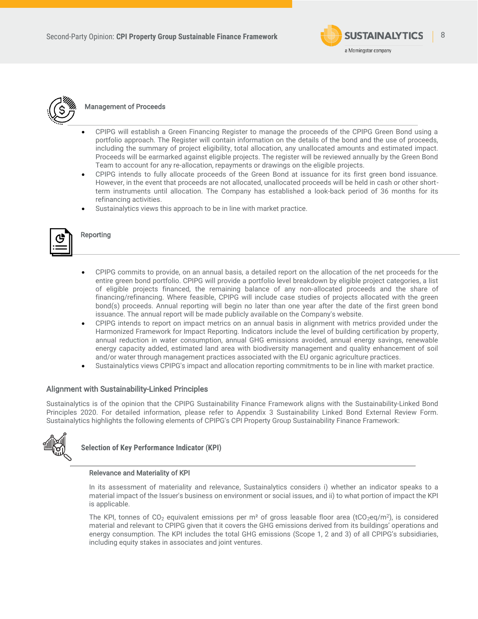



# Management of Proceeds

- CPIPG will establish a Green Financing Register to manage the proceeds of the CPIPG Green Bond using a portfolio approach. The Register will contain information on the details of the bond and the use of proceeds, including the summary of project eligibility, total allocation, any unallocated amounts and estimated impact. Proceeds will be earmarked against eligible projects. The register will be reviewed annually by the Green Bond Team to account for any re-allocation, repayments or drawings on the eligible projects.
- CPIPG intends to fully allocate proceeds of the Green Bond at issuance for its first green bond issuance. However, in the event that proceeds are not allocated, unallocated proceeds will be held in cash or other shortterm instruments until allocation. The Company has established a look-back period of 36 months for its refinancing activities.
- Sustainalytics views this approach to be in line with market practice.



# Reporting

- CPIPG commits to provide, on an annual basis, a detailed report on the allocation of the net proceeds for the entire green bond portfolio. CPIPG will provide a portfolio level breakdown by eligible project categories, a list of eligible projects financed, the remaining balance of any non-allocated proceeds and the share of financing/refinancing. Where feasible, CPIPG will include case studies of projects allocated with the green bond(s) proceeds. Annual reporting will begin no later than one year after the date of the first green bond issuance. The annual report will be made publicly available on the Company's website.
- CPIPG intends to report on impact metrics on an annual basis in alignment with metrics provided under the Harmonized Framework for Impact Reporting. Indicators include the level of building certification by property, annual reduction in water consumption, annual GHG emissions avoided, annual energy savings, renewable energy capacity added, estimated land area with biodiversity management and quality enhancement of soil and/or water through management practices associated with the EU organic agriculture practices.
- Sustainalytics views CPIPG's impact and allocation reporting commitments to be in line with market practice.

## <span id="page-7-0"></span>Alignment with Sustainability-Linked Principles

Sustainalytics is of the opinion that the CPIPG Sustainability Finance Framework aligns with the Sustainability-Linked Bond Principles 2020. For detailed information, please refer to Appendix 3 Sustainability Linked Bond External Review Form. Sustainalytics highlights the following elements of CPIPG's CPI Property Group Sustainability Finance Framework:



**Selection of Key Performance Indicator (KPI)** 

### Relevance and Materiality of KPI

In its assessment of materiality and relevance, Sustainalytics considers i) whether an indicator speaks to a material impact of the Issuer's business on environment or social issues, and ii) to what portion of impact the KPI is applicable.

The KPI, tonnes of CO<sub>2</sub> equivalent emissions per m<sup>2</sup> of gross leasable floor area (tCO<sub>2</sub>eq/m<sup>2</sup>), is considered material and relevant to CPIPG given that it covers the GHG emissions derived from its buildings' operations and energy consumption. The KPI includes the total GHG emissions (Scope 1, 2 and 3) of all CPIPG's subsidiaries, including equity stakes in associates and joint ventures.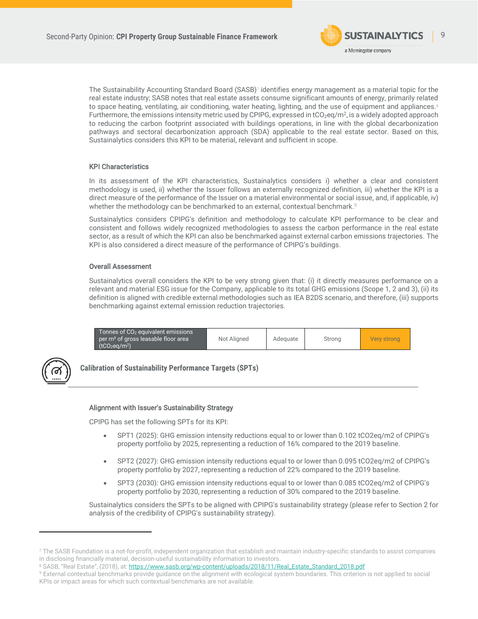

The Sustainability Accounting Standard Board (SASB) $^{\rm 7}$  identifies energy management as a material topic for the real estate industry; SASB notes that real estate assets consume significant amounts of energy, primarily related to space heating, ventilating, air conditioning, water heating, lighting, and the use of equipment and appliances.<sup>8</sup> Furthermore, the emissions intensity metric used by CPIPG, expressed in tCO<sub>2</sub>eq/m<sup>2</sup>, is a widely adopted approach to reducing the carbon footprint associated with buildings operations, in line with the global decarbonization pathways and sectoral decarbonization approach (SDA) applicable to the real estate sector. Based on this, Sustainalytics considers this KPI to be material, relevant and sufficient in scope.

### KPI Characteristics

In its assessment of the KPI characteristics, Sustainalytics considers i) whether a clear and consistent methodology is used, ii) whether the Issuer follows an externally recognized definition, iii) whether the KPI is a direct measure of the performance of the Issuer on a material environmental or social issue, and, if applicable, iv) whether the methodology can be benchmarked to an external, contextual benchmark. 9

Sustainalytics considers CPIPG's definition and methodology to calculate KPI performance to be clear and consistent and follows widely recognized methodologies to assess the carbon performance in the real estate sector, as a result of which the KPI can also be benchmarked against external carbon emissions trajectories. The KPI is also considered a direct measure of the performance of CPIPG's buildings.

## Overall Assessment

Sustainalytics overall considers the KPI to be very strong given that: (i) it directly measures performance on a relevant and material ESG issue for the Company, applicable to its total GHG emissions (Scope 1, 2 and 3), (ii) its definition is aligned with credible external methodologies such as IEA B2DS scenario, and therefore, (iii) supports benchmarking against external emission reduction trajectories.



**Calibration of Sustainability Performance Targets (SPTs)** 

### Alignment with Issuer's Sustainability Strategy

CPIPG has set the following SPTs for its KPI:

- SPT1 (2025): GHG emission intensity reductions equal to or lower than 0.102 tCO2eq/m2 of CPIPG's property portfolio by 2025, representing a reduction of 16% compared to the 2019 baseline.
- SPT2 (2027): GHG emission intensity reductions equal to or lower than 0.095 tCO2eq/m2 of CPIPG's property portfolio by 2027, representing a reduction of 22% compared to the 2019 baseline.
- SPT3 (2030): GHG emission intensity reductions equal to or lower than 0.085 tCO2eq/m2 of CPIPG's property portfolio by 2030, representing a reduction of 30% compared to the 2019 baseline.

Sustainalytics considers the SPTs to be aligned with CPIPG's sustainability strategy (please refer to Section 2 for analysis of the credibility of CPIPG's sustainability strategy).

<sup>7</sup> The SASB Foundation is a not-for-profit, independent organization that establish and maintain industry-specific standards to assist companies in disclosing financially material, decision-useful sustainability information to investors.

<sup>8</sup> SASB, "Real Estate", (2018), at[: https://www.sasb.org/wp-content/uploads/2018/11/Real\\_Estate\\_Standard\\_2018.pdf](https://www.sasb.org/wp-content/uploads/2018/11/Real_Estate_Standard_2018.pdf)

<sup>9</sup> External contextual benchmarks provide guidance on the alignment with ecological system boundaries. This criterion is not applied to social KPIs or impact areas for which such contextual benchmarks are not available.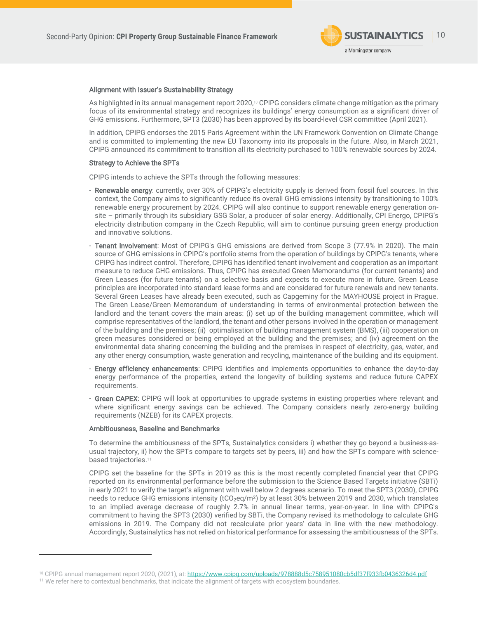

### Alignment with Issuer's Sustainability Strategy

As highlighted in its annual management report 2020, <sup>10</sup> CPIPG considers climate change mitigation as the primary focus of its environmental strategy and recognizes its buildings' energy consumption as a significant driver of GHG emissions. Furthermore, SPT3 (2030) has been approved by its board-level CSR committee (April 2021).

In addition, CPIPG endorses the 2015 Paris Agreement within the UN Framework Convention on Climate Change and is committed to implementing the new EU Taxonomy into its proposals in the future. Also, in March 2021, CPIPG announced its commitment to transition all its electricity purchased to 100% renewable sources by 2024.

### Strategy to Achieve the SPTs

CPIPG intends to achieve the SPTs through the following measures:

- Renewable energy: currently, over 30% of CPIPG's electricity supply is derived from fossil fuel sources. In this context, the Company aims to significantly reduce its overall GHG emissions intensity by transitioning to 100% renewable energy procurement by 2024. CPIPG will also continue to support renewable energy generation onsite – primarily through its subsidiary GSG Solar, a producer of solar energy. Additionally, CPI Energo, CPIPG's electricity distribution company in the Czech Republic, will aim to continue pursuing green energy production and innovative solutions.
- Tenant involvement: Most of CPIPG's GHG emissions are derived from Scope 3 (77.9% in 2020). The main source of GHG emissions in CPIPG's portfolio stems from the operation of buildings by CPIPG's tenants, where CPIPG has indirect control. Therefore, CPIPG has identified tenant involvement and cooperation as an important measure to reduce GHG emissions. Thus, CPIPG has executed Green Memorandums (for current tenants) and Green Leases (for future tenants) on a selective basis and expects to execute more in future. Green Lease principles are incorporated into standard lease forms and are considered for future renewals and new tenants. Several Green Leases have already been executed, such as Capgeminy for the MAYHOUSE project in Prague. The Green Lease/Green Memorandum of understanding in terms of environmental protection between the landlord and the tenant covers the main areas: (i) set up of the building management committee, which will comprise representatives of the landlord, the tenant and other persons involved in the operation or management of the building and the premises; (ii) optimalisation of building management system (BMS), (iii) cooperation on green measures considered or being employed at the building and the premises; and (iv) agreement on the environmental data sharing concerning the building and the premises in respect of electricity, gas, water, and any other energy consumption, waste generation and recycling, maintenance of the building and its equipment.
- Energy efficiency enhancements: CPIPG identifies and implements opportunities to enhance the day-to-day energy performance of the properties, extend the longevity of building systems and reduce future CAPEX requirements.
- Green CAPEX: CPIPG will look at opportunities to upgrade systems in existing properties where relevant and where significant energy savings can be achieved. The Company considers nearly zero-energy building requirements (NZEB) for its CAPEX projects.

#### Ambitiousness, Baseline and Benchmarks

To determine the ambitiousness of the SPTs, Sustainalytics considers i) whether they go beyond a business-asusual trajectory, ii) how the SPTs compare to targets set by peers, iii) and how the SPTs compare with sciencebased trajectories. 11

CPIPG set the baseline for the SPTs in 2019 as this is the most recently completed financial year that CPIPG reported on its environmental performance before the submission to the Science Based Targets initiative (SBTi) in early 2021 to verify the target's alignment with well below 2 degrees scenario. To meet the SPT3 (2030), CPIPG needs to reduce GHG emissions intensity  $(tCO_2eq/m^2)$  by at least 30% between 2019 and 2030, which translates to an implied average decrease of roughly 2.7% in annual linear terms, year-on-year. In line with CPIPG's commitment to having the SPT3 (2030) verified by SBTi, the Company revised its methodology to calculate GHG emissions in 2019. The Company did not recalculate prior years' data in line with the new methodology. Accordingly, Sustainalytics has not relied on historical performance for assessing the ambitiousness of the SPTs.

<sup>10</sup> CPIPG annual management report 2020, (2021), at[: https://www.cpipg.com/uploads/978888d5c758951080cb5df37f933fb0436326d4.pdf](https://www.cpipg.com/uploads/978888d5c758951080cb5df37f933fb0436326d4.pdf)

<sup>&</sup>lt;sup>11</sup> We refer here to contextual benchmarks, that indicate the alignment of targets with ecosystem boundaries.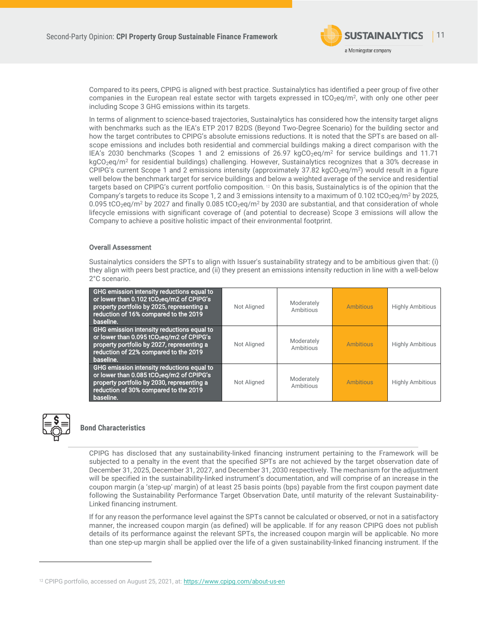

Compared to its peers, CPIPG is aligned with best practice. Sustainalytics has identified a peer group of five other companies in the European real estate sector with targets expressed in tCO<sub>2</sub>eq/m<sup>2</sup>, with only one other peer including Scope 3 GHG emissions within its targets.

In terms of alignment to science-based trajectories, Sustainalytics has considered how the intensity target aligns with benchmarks such as the IEA's ETP 2017 B2DS (Beyond Two-Degree Scenario) for the building sector and how the target contributes to CPIPG's absolute emissions reductions. It is noted that the SPTs are based on allscope emissions and includes both residential and commercial buildings making a direct comparison with the IEA's 2030 benchmarks (Scopes 1 and 2 emissions of 26.97 kgCO<sub>2</sub>eq/m<sup>2</sup> for service buildings and 11.71 kgCO<sub>2</sub>eq/m<sup>2</sup> for residential buildings) challenging. However, Sustainalytics recognizes that a 30% decrease in CPIPG's current Scope 1 and 2 emissions intensity (approximately  $37.82 \text{ kgCO}_2\text{eq}/\text{m}^2$ ) would result in a figure well below the benchmark target for service buildings and below a weighted average of the service and residential targets based on CPIPG's current portfolio composition. <sup>12</sup> On this basis, Sustainalytics is of the opinion that the Company's targets to reduce its Scope 1, 2 and 3 emissions intensity to a maximum of 0.102 tCO<sub>2</sub>eg/m<sup>2</sup> by 2025, 0.095 tCO<sub>2</sub>eg/m<sup>2</sup> by 2027 and finally 0.085 tCO<sub>2</sub>eg/m<sup>2</sup> by 2030 are substantial, and that consideration of whole lifecycle emissions with significant coverage of (and potential to decrease) Scope 3 emissions will allow the Company to achieve a positive holistic impact of their environmental footprint.

## Overall Assessment

Sustainalytics considers the SPTs to align with Issuer's sustainability strategy and to be ambitious given that: (i) they align with peers best practice, and (ii) they present an emissions intensity reduction in line with a well-below 2°C scenario.

| GHG emission intensity reductions equal to<br>or lower than 0.102 tCO <sub>2</sub> eq/m2 of CPIPG's<br>property portfolio by 2025, representing a<br>reduction of 16% compared to the 2019<br>baseline. | Not Aligned | Moderately<br>Ambitious | <b>Ambitious</b> | <b>Highly Ambitious</b> |
|---------------------------------------------------------------------------------------------------------------------------------------------------------------------------------------------------------|-------------|-------------------------|------------------|-------------------------|
| GHG emission intensity reductions equal to<br>or lower than 0.095 tCO2eq/m2 of CPIPG's<br>property portfolio by 2027, representing a<br>reduction of 22% compared to the 2019<br>baseline.              | Not Aligned | Moderately<br>Ambitious | <b>Ambitious</b> | <b>Highly Ambitious</b> |
| GHG emission intensity reductions equal to<br>or lower than 0.085 tCO <sub>2</sub> eq/m2 of CPIPG's<br>property portfolio by 2030, representing a<br>reduction of 30% compared to the 2019<br>baseline. | Not Aligned | Moderately<br>Ambitious | <b>Ambitious</b> | <b>Highly Ambitious</b> |



# **Bond Characteristics**

CPIPG has disclosed that any sustainability-linked financing instrument pertaining to the Framework will be subjected to a penalty in the event that the specified SPTs are not achieved by the target observation date of December 31, 2025, December 31, 2027, and December 31, 2030 respectively. The mechanism for the adjustment will be specified in the sustainability-linked instrument's documentation, and will comprise of an increase in the coupon margin (a 'step-up' margin) of at least 25 basis points (bps) payable from the first coupon payment date following the Sustainability Performance Target Observation Date, until maturity of the relevant Sustainability-Linked financing instrument.

If for any reason the performance level against the SPTs cannot be calculated or observed, or not in a satisfactory manner, the increased coupon margin (as defined) will be applicable. If for any reason CPIPG does not publish details of its performance against the relevant SPTs, the increased coupon margin will be applicable. No more than one step-up margin shall be applied over the life of a given sustainability-linked financing instrument. If the

<sup>&</sup>lt;sup>12</sup> CPIPG portfolio, accessed on August 25, 2021, at[: https://www.cpipg.com/about-us-en](https://www.cpipg.com/about-us-en)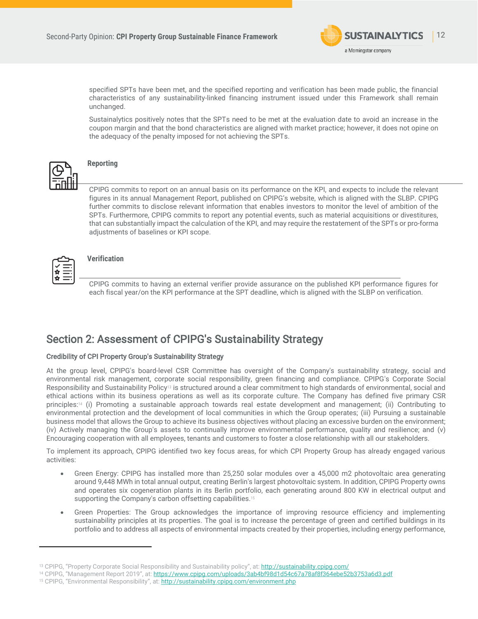

specified SPTs have been met, and the specified reporting and verification has been made public, the financial characteristics of any sustainability-linked financing instrument issued under this Framework shall remain unchanged.

Sustainalytics positively notes that the SPTs need to be met at the evaluation date to avoid an increase in the coupon margin and that the bond characteristics are aligned with market practice; however, it does not opine on the adequacy of the penalty imposed for not achieving the SPTs.



# **Reporting**

CPIPG commits to report on an annual basis on its performance on the KPI, and expects to include the relevant figures in its annual Management Report, published on CPIPG's website, which is aligned with the SLBP. CPIPG further commits to disclose relevant information that enables investors to monitor the level of ambition of the SPTs. Furthermore, CPIPG commits to report any potential events, such as material acquisitions or divestitures, that can substantially impact the calculation of the KPI, and may require the restatement of the SPTs or pro-forma adjustments of baselines or KPI scope.



# **Verification**

CPIPG commits to having an external verifier provide assurance on the published KPI performance figures for each fiscal year/on the KPI performance at the SPT deadline, which is aligned with the SLBP on verification.

# <span id="page-11-0"></span>Section 2: Assessment of CPIPG's Sustainability Strategy

# Credibility of CPI Property Group's Sustainability Strategy

<span id="page-11-2"></span>At the group level, CPIPG's board-level CSR Committee has oversight of the Company's sustainability strategy, social and environmental risk management, corporate social responsibility, green financing and compliance. CPIPG's Corporate Social Responsibility and Sustainability Policy<sup>13</sup> is structured around a clear commitment to high standards of environmental, social and ethical actions within its business operations as well as its corporate culture. The Company has defined five primary CSR principles:<sup>14</sup> (i) Promoting a sustainable approach towards real estate development and management; (ii) Contributing to environmental protection and the development of local communities in which the Group operates; (iii) Pursuing a sustainable business model that allows the Group to achieve its business objectives without placing an excessive burden on the environment; (iv) Actively managing the Group's assets to continually improve environmental performance, quality and resilience; and (v) Encouraging cooperation with all employees, tenants and customers to foster a close relationship with all our stakeholders.

To implement its approach, CPIPG identified two key focus areas, for which CPI Property Group has already engaged various activities:

- Green Energy: CPIPG has installed more than 25,250 solar modules over a 45,000 m2 photovoltaic area generating around 9,448 MWh in total annual output, creating Berlin's largest photovoltaic system. In addition, CPIPG Property owns and operates six cogeneration plants in its Berlin portfolio, each generating around 800 KW in electrical output and supporting the Company's carbon offsetting capabilities.<sup>15</sup>
- <span id="page-11-1"></span>• Green Properties: The Group acknowledges the importance of improving resource efficiency and implementing sustainability principles at its properties. The goal is to increase the percentage of green and certified buildings in its portfolio and to address all aspects of environmental impacts created by their properties, including energy performance,

<sup>13</sup> CPIPG, "Property Corporate Social Responsibility and Sustainability policy", at: <http://sustainability.cpipg.com/>

<sup>14</sup> CPIPG, "Management Report 2019", at: <https://www.cpipg.com/uploads/3ab4bf98d1d54c67a78af8f364ebe52b3753a6d3.pdf>

<sup>15</sup> CPIPG, "Environmental Responsibility", at: <http://sustainability.cpipg.com/environment.php>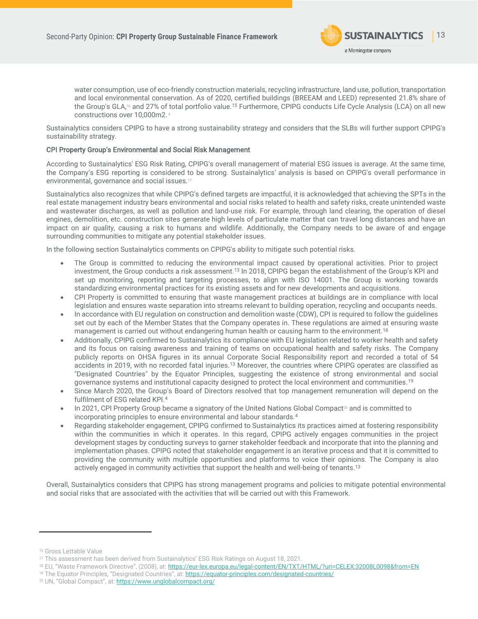

water consumption, use of eco-friendly construction materials, recycling infrastructure, land use, pollution, transportation and local environmental conservation. As of 2020, certified buildings (BREEAM and LEED) represented 21.8% share of the Group's GLA,<sup>16</sup> and 27% of total portfolio value.<sup>[15](#page-11-1)</sup> Furthermore, CPIPG conducts Life Cycle Analysis (LCA) on all new constructions over 10,000m2[.](#page-4-1) <sup>4</sup>

Sustainalytics considers CPIPG to have a strong sustainability strategy and considers that the SLBs will further support CPIPG's sustainability strategy.

### CPI Property Group's Environmental and Social Risk Management

According to Sustainalytics' ESG Risk Rating, CPIPG's overall management of material ESG issues is average. At the same time, the Company's ESG reporting is considered to be strong. Sustainalytics' analysis is based on CPIPG's overall performance in environmental, governance and social issues.<sup>17</sup>

Sustainalytics also recognizes that while CPIPG's defined targets are impactful, it is acknowledged that achieving the SPTs in the real estate management industry bears environmental and social risks related to health and safety risks, create unintended waste and wastewater discharges, as well as pollution and land-use risk. For example, through land clearing, the operation of diesel engines, demolition, etc. construction sites generate high levels of particulate matter that can travel long distances and have an impact on air quality, causing a risk to humans and wildlife. Additionally, the Company needs to be aware of and engage surrounding communities to mitigate any potential stakeholder issues.

In the following section Sustainalytics comments on CPIPG's ability to mitigate such potential risks.

- The Group is committed to reducing the environmental impact caused by operational activities. Prior to project investment, the Group conducts a risk assessment.[13](#page-11-2) In 2018, CPIPG began the establishment of the Group's KPI and set up monitoring, reporting and targeting processes, to align with ISO 14001. The Group is working towards standardizing environmental practices for its existing assets and for new developments and acquisitions.
- CPI Property is committed to ensuring that waste management practices at buildings are in compliance with local legislation and ensures waste separation into streams relevant to building operation, recycling and occupants needs.
- In accordance with EU regulation on construction and demolition waste (CDW), CPI is required to follow the guidelines set out by each of the Member States that the Company operates in. These regulations are aimed at ensuring waste management is carried out without endangering human health or causing harm to the environment.<sup>18</sup>
- Additionally, CPIPG confirmed to Sustainalytics its compliance with EU legislation related to worker health and safety and its focus on raising awareness and training of teams on occupational health and safety risks. The Company publicly reports on OHSA figures in its annual Corporate Social Responsibility report and recorded a total of 54 accidents in 2019, with no recorded fatal injuries.[13](#page-11-2) Moreover, the countries where CPIPG operates are classified as "Designated Countries" by the Equator Principles, suggesting the existence of strong environmental and social governance systems and institutional capacity designed to protect the local environment and communities.<sup>19</sup>
- Since March 2020, the Group's Board of Directors resolved that top management remuneration will depend on the fulfilment of ESG related KPI.[4](#page-4-1)
- In 2021, CPI Property Group became a signatory of the United Nations Global Compact<sup>20</sup> and is committed to incorporating principles to ensure environmental and labour standards.[4](#page-4-1)
- <span id="page-12-0"></span>• Regarding stakeholder engagement, CPIPG confirmed to Sustainalytics its practices aimed at fostering responsibility within the communities in which it operates. In this regard, CPIPG actively engages communities in the project development stages by conducting surveys to garner stakeholder feedback and incorporate that into the planning and implementation phases. CPIPG noted that stakeholder engagement is an iterative process and that it is committed to providing the community with multiple opportunities and platforms to voice their opinions. The Company is also actively engaged in community activities that support the health and well-being of tenants.[13](#page-11-2)

Overall, Sustainalytics considers that CPIPG has strong management programs and policies to mitigate potential environmental and social risks that are associated with the activities that will be carried out with this Framework.

<sup>16</sup> Gross Lettable Value

<sup>17</sup> This assessment has been derived from Sustainalytics' ESG Risk Ratings on August 18, 2021.

<sup>18</sup> EU, "Waste Framework Directive", (2008), at: <https://eur-lex.europa.eu/legal-content/EN/TXT/HTML/?uri=CELEX:32008L0098&from=EN>

<sup>19</sup> The Equator Principles, "Designated Countries", at: <https://equator-principles.com/designated-countries/>

<sup>20</sup> UN, "Global Compact", at: <https://www.unglobalcompact.org/>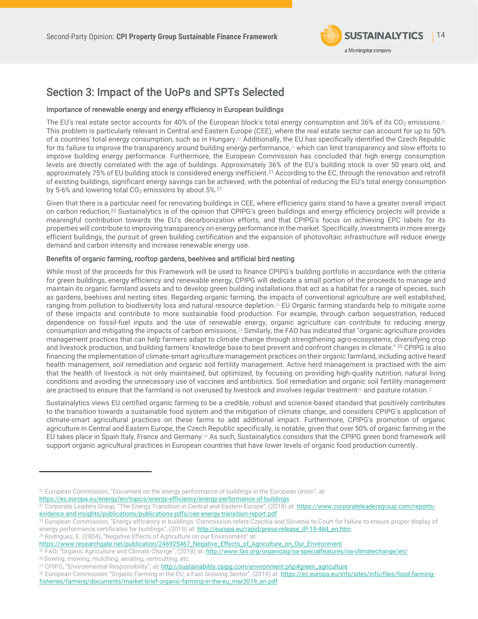<span id="page-13-1"></span><span id="page-13-0"></span>

# Section 3: Impact of the UoPs and SPTs Selected

## Importance of renewable energy and energy efficiency in European buildings

The EU's real estate sector accounts for 40% of the European block's total energy consumption and 36% of its CO2 emissions. $^{21}$ This problem is particularly relevant in Central and Eastern Europe (CEE), where the real estate sector can account for up to 50% of a countries' total energy consumption, such as in Hungary.<sup>22</sup> Additionally, the EU has specifically identified the Czech Republic for its failure to improve the transparency around building energy performance,<sup>23</sup> which can limit transparency and slow efforts to improve building energy performance. Furthermore, the European Commission has concluded that high energy consumption levels are directly correlated with the age of buildings. Approximately 36% of the EU's building stock is over 50 years old, and approximately 75% of EU building stock is considered energy inefficient.<sup>[21](#page-13-0)</sup> According to the EC, through the renovation and retrofit of existing buildings, significant energy savings can be achieved, with the potential of reducing the EU's total energy consumption by 5-6% and lowering total  $CO<sub>2</sub>$  emissions by about 5%.<sup>[21](#page-13-0)</sup>

Given that there is a particular need for renovating buildings in CEE, where efficiency gains stand to have a greater overall impact on carbon reduction,[22](#page-13-1) Sustainalytics is of the opinion that CPIPG's green buildings and energy efficiency projects will provide a meaningful contribution towards the EU's decarbonization efforts, and that CPIPG's focus on achieving EPC labels for its properties will contribute to improving transparency on energy performance in the market. Specifically, investments in more energy efficient buildings, the pursuit of green building certification and the expansion of photovoltaic infrastructure will reduce energy demand and carbon intensity and increase renewable energy use.

### Benefits of organic farming, rooftop gardens, beehives and artificial bird nesting

<span id="page-13-2"></span>While most of the proceeds for this Framework will be used to finance CPIPG's building portfolio in accordance with the criteria for green buildings, energy efficiency and renewable energy, CPIPG will dedicate a small portion of the proceeds to manage and maintain its organic farmland assets and to develop green building installations that act as a habitat for a range of species, such as gardens, beehives and nesting sites. Regarding organic farming, the impacts of conventional agriculture are well established, ranging from pollution to biodiversity loss and natural resource depletion.<sup>24</sup> EU Organic farming standards help to mitigate some of these impacts and contribute to more sustainable food production. For example, through carbon sequestration, reduced dependence on fossil-fuel inputs and the use of renewable energy, organic agriculture can contribute to reducing energy consumption and mitigating the impacts of carbon emissions.<sup>25</sup> Similarly, the FAO has indicated that "organic agriculture provides management practices that can help farmers adapt to climate change through strengthening agro-ecosystems, diversifying crop and livestock production, and building farmers' knowledge base to best prevent and confront changes in climate." <sup>[25](#page-13-2)</sup> CPIPG is also financing the implementation of climate-smart agriculture management practices on their organic farmland, including active heard health management, soil remediation and organic soil fertility management. Active herd management is practised with the aim that the health of livestock is not only maintained, but optimized, by focusing on providing high-quality nutrition, natural living conditions and avoiding the unnecessary use of vaccines and antibiotics. Soil remediation and organic soil fertility management are practised to ensure that the farmland is not overused by livestock and involves regular treatment<sup>26</sup> and pasture rotation.<sup>27</sup>

Sustainalytics views EU certified organic farming to be a credible, robust and science-based standard that positively contributes to the transition towards a sustainable food system and the mitigation of climate change, and considers CPIPG's application of climate-smart agricultural practices on these farms to add additional impact. Furthermore, CPIPG's promotion of organic agriculture in Central and Eastern Europe, the Czech Republic specifically, is notable, given that over 50% of organic farming in the EU takes place in Spain Italy, France and Germany.<sup>28</sup> As such, Sustainalytics considers that the CPIPG green bond framework will support organic agricultural practices in European countries that have lower levels of organic food production currently.

<https://ec.europa.eu/energy/en/topics/energy-efficiency/energy-performance-of-buildings>

<sup>21</sup> European Commission, "Document on the energy performance of buildings in the European Union", at:

<sup>&</sup>lt;sup>22</sup> Corporate Leaders Group, "The Energy Transition in Central and Eastern Europe", (2018) at: [https://www.corporateleadersgroup.com/reports](https://www.corporateleadersgroup.com/reports-evidence-and-insights/publications/publications-pdfs/cee-energy-transition-report.pdf)[evidence-and-insights/publications/publications-pdfs/cee-energy-transition-report.pdf](https://www.corporateleadersgroup.com/reports-evidence-and-insights/publications/publications-pdfs/cee-energy-transition-report.pdf)

<sup>&</sup>lt;sup>23</sup> European Commission, "Energy efficiency in buildings: Commission refers Czechia and Slovenia to Court for failure to ensure proper display of energy performance certificates for buildings", (2019) at: [http://europa.eu/rapid/press-release\\_IP-19-464\\_en.htm](http://europa.eu/rapid/press-release_IP-19-464_en.htm) <sup>24</sup> Rodriguez, E. (2004), "Negative Effects of Agriculture on our Environment" at:

[https://www.researchgate.net/publication/246925467\\_Negative\\_Effects\\_of\\_Agriculture\\_on\\_Our\\_Environment](https://www.researchgate.net/publication/246925467_Negative_Effects_of_Agriculture_on_Our_Environment)

<sup>&</sup>lt;sup>25</sup> FAO, "Organic Agriculture and Climate Change", (2018) at: <http://www.fao.org/organicag/oa-specialfeatures/oa-climatechange/en/> <sup>26</sup> Sowing, mowing, mulching, aerating, verticutting, etc.

<sup>&</sup>lt;sup>27</sup> CPIPG, "Environmental Responsibility", at: [http://sustainability.cpipg.com/environment.php#green\\_agriculture](http://sustainability.cpipg.com/environment.php#green_agriculture)

<sup>&</sup>lt;sup>28</sup> European Commission "Organic Farming in the EU, a Fast Growing Sector", (2019) at: [https://ec.europa.eu/info/sites/info/files/food-farming](https://ec.europa.eu/info/sites/info/files/food-farming-fisheries/farming/documents/market-brief-organic-farming-in-the-eu_mar2019_en.pdf)[fisheries/farming/documents/market-brief-organic-farming-in-the-eu\\_mar2019\\_en.pdf](https://ec.europa.eu/info/sites/info/files/food-farming-fisheries/farming/documents/market-brief-organic-farming-in-the-eu_mar2019_en.pdf)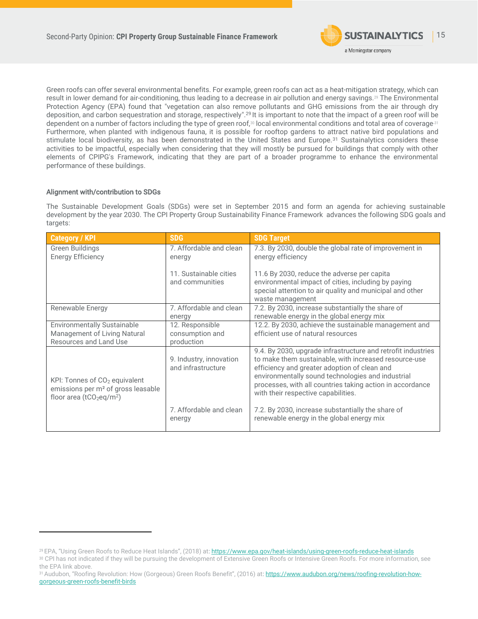<span id="page-14-2"></span><span id="page-14-1"></span>

Green roofs can offer several environmental benefits. For example, green roofs can act as a heat-mitigation strategy, which can result in lower demand for air-conditioning, thus leading to a decrease in air pollution and energy savings.<sup>29</sup> The Environmental Protection Agency (EPA) found that "vegetation can also remove pollutants and GHG emissions from the air through dry deposition, and carbon sequestration and storage, respectively". [29](#page-14-1) It is important to note that the impact of a green roof will be dependent on a number of factors including the type of green roof,<sup>30</sup> local environmental conditions and total area of coverage.<sup>31</sup> Furthermore, when planted with indigenous fauna, it is possible for rooftop gardens to attract native bird populations and stimulate local biodiversity, as has been demonstrated in the United States and Europe.<sup>[31](#page-14-2)</sup> Sustainalytics considers these activities to be impactful, especially when considering that they will mostly be pursued for buildings that comply with other elements of CPIPG's Framework, indicating that they are part of a broader programme to enhance the environmental performance of these buildings.

## Alignment with/contribution to SDGs

The Sustainable Development Goals (SDGs) were set in September 2015 and form an agenda for achieving sustainable development by the year 2030. The CPI Property Group Sustainability Finance Framework advances the following SDG goals and targets:

| <b>Category / KPI</b>                                                                                                         | <b>SDG</b>                                    | <b>SDG Target</b>                                                                                                                                                                                                                                                                                                              |
|-------------------------------------------------------------------------------------------------------------------------------|-----------------------------------------------|--------------------------------------------------------------------------------------------------------------------------------------------------------------------------------------------------------------------------------------------------------------------------------------------------------------------------------|
| Green Buildings<br><b>Energy Efficiency</b>                                                                                   | 7. Affordable and clean<br>energy             | 7.3. By 2030, double the global rate of improvement in<br>energy efficiency                                                                                                                                                                                                                                                    |
|                                                                                                                               | 11. Sustainable cities<br>and communities     | 11.6 By 2030, reduce the adverse per capita<br>environmental impact of cities, including by paying<br>special attention to air quality and municipal and other<br>waste management                                                                                                                                             |
| Renewable Energy                                                                                                              | 7. Affordable and clean<br>energy             | 7.2. By 2030, increase substantially the share of<br>renewable energy in the global energy mix                                                                                                                                                                                                                                 |
| <b>Environmentally Sustainable</b>                                                                                            | 12. Responsible                               | 12.2. By 2030, achieve the sustainable management and                                                                                                                                                                                                                                                                          |
| Management of Living Natural                                                                                                  | consumption and                               | efficient use of natural resources                                                                                                                                                                                                                                                                                             |
| Resources and Land Use                                                                                                        | production                                    |                                                                                                                                                                                                                                                                                                                                |
| KPI: Tonnes of $CO2$ equivalent<br>emissions per m <sup>2</sup> of gross leasable<br>floor area ( $tCO_2$ eq/m <sup>2</sup> ) | 9. Industry, innovation<br>and infrastructure | 9.4. By 2030, upgrade infrastructure and retrofit industries<br>to make them sustainable, with increased resource-use<br>efficiency and greater adoption of clean and<br>environmentally sound technologies and industrial<br>processes, with all countries taking action in accordance<br>with their respective capabilities. |
|                                                                                                                               | 7. Affordable and clean<br>energy             | 7.2. By 2030, increase substantially the share of<br>renewable energy in the global energy mix                                                                                                                                                                                                                                 |

<span id="page-14-0"></span><sup>29</sup> EPA, "Using Green Roofs to Reduce Heat Islands", (2018) at[: https://www.epa.gov/heat-islands/using-green-roofs-reduce-heat-islands](https://www.epa.gov/heat-islands/using-green-roofs-reduce-heat-islands)

<sup>30</sup> CPI has not indicated if they will be pursuing the development of Extensive Green Roofs or Intensive Green Roofs. For more information, see the EPA link above.

<sup>31</sup>Audubon, "Roofing Revolution: How (Gorgeous) Green Roofs Benefit", (2016) at[: https://www.audubon.org/news/roofing-revolution-how](https://www.audubon.org/news/roofing-revolution-how-gorgeous-green-roofs-benefit-birds)[gorgeous-green-roofs-benefit-birds](https://www.audubon.org/news/roofing-revolution-how-gorgeous-green-roofs-benefit-birds)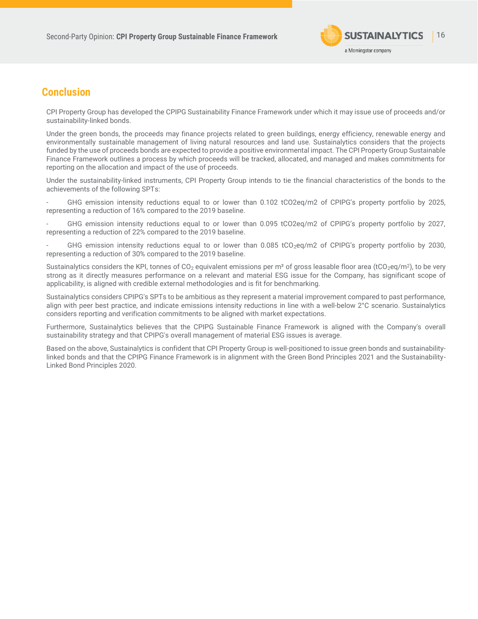

# **Conclusion**

<span id="page-15-0"></span>CPI Property Group has developed the CPIPG Sustainability Finance Framework under which it may issue use of proceeds and/or sustainability-linked bonds.

Under the green bonds, the proceeds may finance projects related to green buildings, energy efficiency, renewable energy and environmentally sustainable management of living natural resources and land use. Sustainalytics considers that the projects funded by the use of proceeds bonds are expected to provide a positive environmental impact. The CPI Property Group Sustainable Finance Framework outlines a process by which proceeds will be tracked, allocated, and managed and makes commitments for reporting on the allocation and impact of the use of proceeds.

Under the sustainability-linked instruments, CPI Property Group intends to tie the financial characteristics of the bonds to the achievements of the following SPTs:

- GHG emission intensity reductions equal to or lower than 0.102 tCO2eq/m2 of CPIPG's property portfolio by 2025, representing a reduction of 16% compared to the 2019 baseline.

- GHG emission intensity reductions equal to or lower than 0.095 tCO2eq/m2 of CPIPG's property portfolio by 2027, representing a reduction of 22% compared to the 2019 baseline.

GHG emission intensity reductions equal to or lower than 0.085 tCO<sub>2</sub>eq/m2 of CPIPG's property portfolio by 2030, representing a reduction of 30% compared to the 2019 baseline.

Sustainalytics considers the KPI, tonnes of CO<sub>2</sub> equivalent emissions per m<sup>2</sup> of gross leasable floor area (tCO<sub>2</sub>eq/m<sup>2</sup>), to be very strong as it directly measures performance on a relevant and material ESG issue for the Company, has significant scope of applicability, is aligned with credible external methodologies and is fit for benchmarking.

Sustainalytics considers CPIPG's SPTs to be ambitious as they represent a material improvement compared to past performance, align with peer best practice, and indicate emissions intensity reductions in line with a well-below 2°C scenario. Sustainalytics considers reporting and verification commitments to be aligned with market expectations.

Furthermore, Sustainalytics believes that the CPIPG Sustainable Finance Framework is aligned with the Company's overall sustainability strategy and that CPIPG's overall management of material ESG issues is average.

Based on the above, Sustainalytics is confident that CPI Property Group is well-positioned to issue green bonds and sustainabilitylinked bonds and that the CPIPG Finance Framework is in alignment with the Green Bond Principles 2021 and the Sustainability-Linked Bond Principles 2020.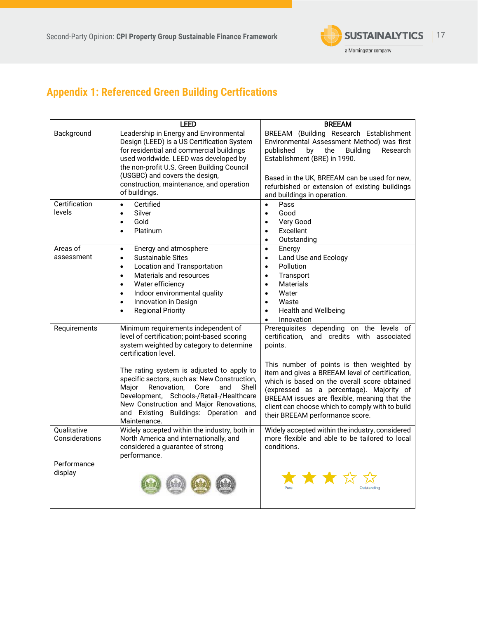

# **Appendix 1: Referenced Green Building Certfications**

|                               | <b>LEED</b>                                                                                                                                                                                                                                                                                                                                                                                                                                         | <b>BREEAM</b>                                                                                                                                                                                                                                                                                                                                                                                                                       |
|-------------------------------|-----------------------------------------------------------------------------------------------------------------------------------------------------------------------------------------------------------------------------------------------------------------------------------------------------------------------------------------------------------------------------------------------------------------------------------------------------|-------------------------------------------------------------------------------------------------------------------------------------------------------------------------------------------------------------------------------------------------------------------------------------------------------------------------------------------------------------------------------------------------------------------------------------|
| Background                    | Leadership in Energy and Environmental<br>Design (LEED) is a US Certification System<br>for residential and commercial buildings<br>used worldwide. LEED was developed by<br>the non-profit U.S. Green Building Council<br>(USGBC) and covers the design,<br>construction, maintenance, and operation<br>of buildings.                                                                                                                              | BREEAM (Building Research Establishment<br>Environmental Assessment Method) was first<br>by<br>the<br>published<br><b>Building</b><br>Research<br>Establishment (BRE) in 1990.<br>Based in the UK, BREEAM can be used for new,<br>refurbished or extension of existing buildings<br>and buildings in operation.                                                                                                                     |
| Certification<br>levels       | Certified<br>$\bullet$<br>Silver<br>$\bullet$<br>Gold<br>$\bullet$<br>Platinum<br>$\bullet$                                                                                                                                                                                                                                                                                                                                                         | Pass<br>$\bullet$<br>Good<br>$\bullet$<br>Very Good<br>$\bullet$<br>Excellent<br>$\bullet$<br>Outstanding<br>$\bullet$                                                                                                                                                                                                                                                                                                              |
| Areas of<br>assessment        | Energy and atmosphere<br>$\bullet$<br><b>Sustainable Sites</b><br>$\bullet$<br><b>Location and Transportation</b><br>$\bullet$<br>Materials and resources<br>$\bullet$<br>Water efficiency<br>$\bullet$<br>Indoor environmental quality<br>$\bullet$<br>Innovation in Design<br>$\bullet$<br><b>Regional Priority</b><br>$\bullet$                                                                                                                  | Energy<br>$\bullet$<br>Land Use and Ecology<br>$\bullet$<br>Pollution<br>$\bullet$<br>Transport<br>$\bullet$<br><b>Materials</b><br>$\bullet$<br>Water<br>$\bullet$<br>Waste<br>$\bullet$<br><b>Health and Wellbeing</b><br>$\bullet$<br>Innovation<br>$\bullet$                                                                                                                                                                    |
| Requirements                  | Minimum requirements independent of<br>level of certification; point-based scoring<br>system weighted by category to determine<br>certification level.<br>The rating system is adjusted to apply to<br>specific sectors, such as: New Construction,<br>Renovation,<br>Major<br>Core<br>and<br>Shell<br>Development, Schools-/Retail-/Healthcare<br>New Construction and Major Renovations,<br>and Existing Buildings: Operation and<br>Maintenance. | Prerequisites depending on the levels of<br>certification, and credits with associated<br>points.<br>This number of points is then weighted by<br>item and gives a BREEAM level of certification,<br>which is based on the overall score obtained<br>(expressed as a percentage). Majority of<br>BREEAM issues are flexible, meaning that the<br>client can choose which to comply with to build<br>their BREEAM performance score. |
| Qualitative<br>Considerations | Widely accepted within the industry, both in<br>North America and internationally, and<br>considered a guarantee of strong<br>performance.                                                                                                                                                                                                                                                                                                          | Widely accepted within the industry, considered<br>more flexible and able to be tailored to local<br>conditions.                                                                                                                                                                                                                                                                                                                    |
| Performance<br>display        |                                                                                                                                                                                                                                                                                                                                                                                                                                                     | Outstanding                                                                                                                                                                                                                                                                                                                                                                                                                         |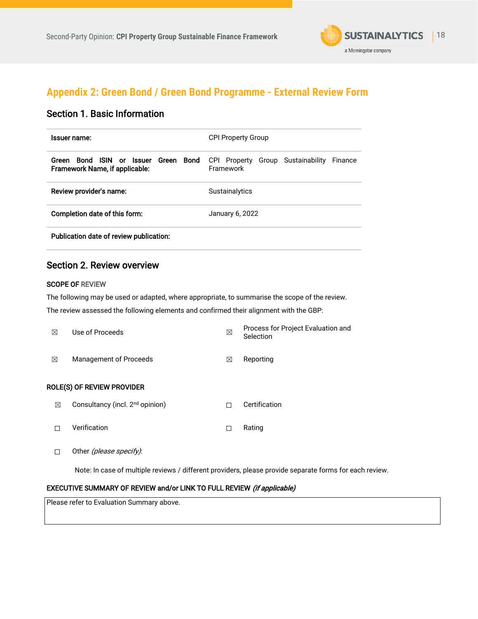

# **Appendix 2: Green Bond / Green Bond Programme - External Review Form**

# Section 1. Basic Information

| <b>Issuer name:</b>                                                                                     | <b>CPI Property Group</b>                                    |
|---------------------------------------------------------------------------------------------------------|--------------------------------------------------------------|
| <b>ISIN</b> or Issuer<br><b>Bond</b><br><b>Bond</b><br>Green<br>Green<br>Framework Name, if applicable: | Group Sustainability<br>CPI Property<br>Finance<br>Framework |
| Review provider's name:                                                                                 | <b>Sustainalytics</b>                                        |
| Completion date of this form:                                                                           | January 6, 2022                                              |
| Publication date of review publication:                                                                 |                                                              |

# Section 2. Review overview

## SCOPE OF REVIEW

The following may be used or adapted, where appropriate, to summarise the scope of the review.

The review assessed the following elements and confirmed their alignment with the GBP:

| ⊠ | Use of Proceeds                             | ⊠ | Process for Project Evaluation and<br>Selection |
|---|---------------------------------------------|---|-------------------------------------------------|
| ⊠ | Management of Proceeds                      | ⊠ | Reporting                                       |
|   | <b>ROLE(S) OF REVIEW PROVIDER</b>           |   |                                                 |
| ⊠ | Consultancy (incl. 2 <sup>nd</sup> opinion) | П | Certification                                   |
|   | Verification                                |   | Rating                                          |

□ Other (please specify):

Note: In case of multiple reviews / different providers, please provide separate forms for each review.

## EXECUTIVE SUMMARY OF REVIEW and/or LINK TO FULL REVIEW (if applicable)

Please refer to Evaluation Summary above.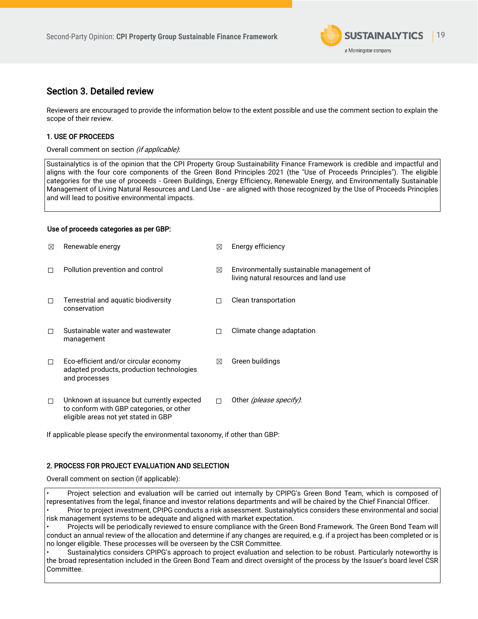

# Section 3. Detailed review

Reviewers are encouraged to provide the information below to the extent possible and use the comment section to explain the scope of their review.

## 1. USE OF PROCEEDS

### Overall comment on section (if applicable):

Sustainalytics is of the opinion that the CPI Property Group Sustainability Finance Framework is credible and impactful and aligns with the four core components of the Green Bond Principles 2021 (the "Use of Proceeds Principles"). The eligible categories for the use of proceeds - Green Buildings, Energy Efficiency, Renewable Energy, and Environmentally Sustainable Management of Living Natural Resources and Land Use - are aligned with those recognized by the Use of Proceeds Principles and will lead to positive environmental impacts.

## Use of proceeds categories as per GBP:

| ⊠ | Renewable energy                                                                                                               | ⊠ | Energy efficiency                                                                  |
|---|--------------------------------------------------------------------------------------------------------------------------------|---|------------------------------------------------------------------------------------|
|   | Pollution prevention and control                                                                                               | ⊠ | Environmentally sustainable management of<br>living natural resources and land use |
| П | Terrestrial and aquatic biodiversity<br>conservation                                                                           |   | Clean transportation                                                               |
|   | Sustainable water and wastewater<br>management                                                                                 | п | Climate change adaptation                                                          |
| П | Eco-efficient and/or circular economy<br>adapted products, production technologies<br>and processes                            | ⊠ | Green buildings                                                                    |
| П | Unknown at issuance but currently expected<br>to conform with GBP categories, or other<br>eligible areas not yet stated in GBP |   | Other <i>(please specify)</i> :                                                    |

If applicable please specify the environmental taxonomy, if other than GBP:

## 2. PROCESS FOR PROJECT EVALUATION AND SELECTION

Overall comment on section (if applicable):

• Project selection and evaluation will be carried out internally by CPIPG's Green Bond Team, which is composed of representatives from the legal, finance and investor relations departments and will be chaired by the Chief Financial Officer. • Prior to project investment, CPIPG conducts a risk assessment. Sustainalytics considers these environmental and social risk management systems to be adequate and aligned with market expectation.

• Projects will be periodically reviewed to ensure compliance with the Green Bond Framework. The Green Bond Team will conduct an annual review of the allocation and determine if any changes are required, e.g. if a project has been completed or is no longer eligible. These processes will be overseen by the CSR Committee.

• Sustainalytics considers CPIPG's approach to project evaluation and selection to be robust. Particularly noteworthy is the broad representation included in the Green Bond Team and direct oversight of the process by the Issuer's board level CSR Committee.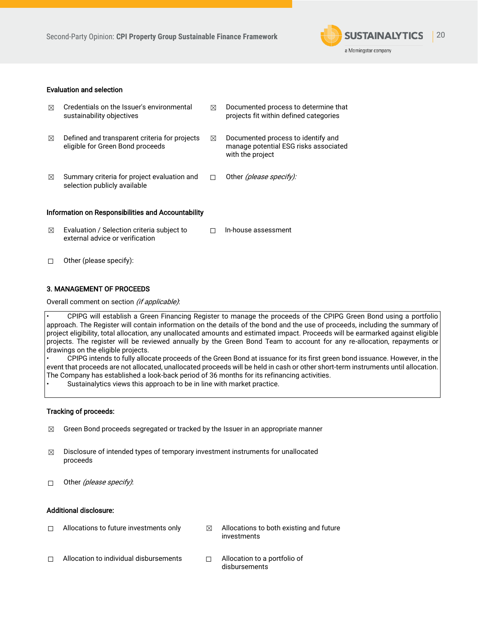

## Evaluation and selection

| ⊠ | Credentials on the Issuer's environmental<br>sustainability objectives            | ⊠           | Documented process to determine that<br>projects fit within defined categories                  |
|---|-----------------------------------------------------------------------------------|-------------|-------------------------------------------------------------------------------------------------|
| ⊠ | Defined and transparent criteria for projects<br>eligible for Green Bond proceeds | $\boxtimes$ | Documented process to identify and<br>manage potential ESG risks associated<br>with the project |
| ⊠ | Summary criteria for project evaluation and<br>selection publicly available       | П           | Other (please specify):                                                                         |
|   | Information on Responsibilities and Accountability                                |             |                                                                                                 |
| ⊠ | Evaluation / Selection criteria subject to<br>external advice or verification     |             | In-house assessment                                                                             |
|   | Other (please specify):                                                           |             |                                                                                                 |

## 3. MANAGEMENT OF PROCEEDS

Overall comment on section (if applicable):

• CPIPG will establish a Green Financing Register to manage the proceeds of the CPIPG Green Bond using a portfolio approach. The Register will contain information on the details of the bond and the use of proceeds, including the summary of project eligibility, total allocation, any unallocated amounts and estimated impact. Proceeds will be earmarked against eligible projects. The register will be reviewed annually by the Green Bond Team to account for any re-allocation, repayments or drawings on the eligible projects.

• CPIPG intends to fully allocate proceeds of the Green Bond at issuance for its first green bond issuance. However, in the event that proceeds are not allocated, unallocated proceeds will be held in cash or other short-term instruments until allocation. The Company has established a look-back period of 36 months for its refinancing activities.

Sustainalytics views this approach to be in line with market practice.

### Tracking of proceeds:

- $\boxtimes$  Green Bond proceeds segregated or tracked by the Issuer in an appropriate manner
- $\boxtimes$  Disclosure of intended types of temporary investment instruments for unallocated proceeds
- $\Box$  Other (please specify):

### Additional disclosure:

| П | Allocations to future investments only | M | Allocations to both existing and future<br>investments |
|---|----------------------------------------|---|--------------------------------------------------------|
| П | Allocation to individual disbursements |   | Allocation to a portfolio of<br>disbursements          |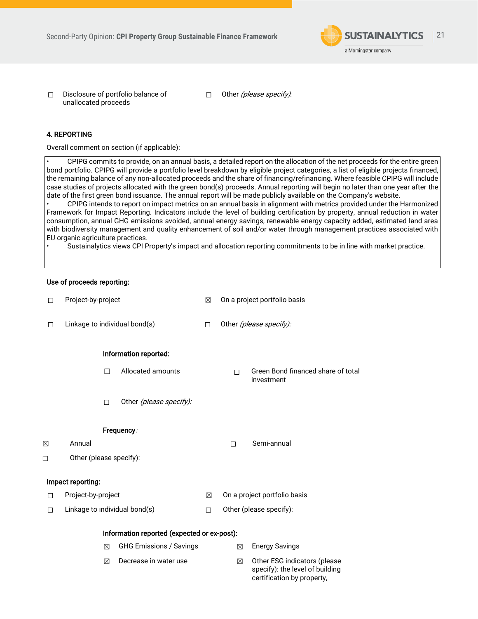

☐ Disclosure of portfolio balance of unallocated proceeds

□ Other (please specify):

## 4. REPORTING

Overall comment on section (if applicable):

• CPIPG commits to provide, on an annual basis, a detailed report on the allocation of the net proceeds for the entire green bond portfolio. CPIPG will provide a portfolio level breakdown by eligible project categories, a list of eligible projects financed, the remaining balance of any non-allocated proceeds and the share of financing/refinancing. Where feasible CPIPG will include case studies of projects allocated with the green bond(s) proceeds. Annual reporting will begin no later than one year after the date of the first green bond issuance. The annual report will be made publicly available on the Company's website.

• CPIPG intends to report on impact metrics on an annual basis in alignment with metrics provided under the Harmonized Framework for Impact Reporting. Indicators include the level of building certification by property, annual reduction in water consumption, annual GHG emissions avoided, annual energy savings, renewable energy capacity added, estimated land area with biodiversity management and quality enhancement of soil and/or water through management practices associated with EU organic agriculture practices.

• Sustainalytics views CPI Property's impact and allocation reporting commitments to be in line with market practice.

#### Use of proceeds reporting:

| □           | Project-by-project                          |                                | ⊠ | On a project portfolio basis |                                                                                               |  |
|-------------|---------------------------------------------|--------------------------------|---|------------------------------|-----------------------------------------------------------------------------------------------|--|
| $\Box$      | Linkage to individual bond(s)               |                                | П | Other (please specify):      |                                                                                               |  |
|             |                                             | Information reported:          |   |                              |                                                                                               |  |
|             |                                             | Allocated amounts              |   | П                            | Green Bond financed share of total<br>investment                                              |  |
|             | □                                           | Other (please specify):        |   |                              |                                                                                               |  |
|             |                                             | Frequency.                     |   |                              |                                                                                               |  |
| $\boxtimes$ | Annual                                      |                                |   | $\Box$                       | Semi-annual                                                                                   |  |
| □           | Other (please specify):                     |                                |   |                              |                                                                                               |  |
|             | Impact reporting:                           |                                |   |                              |                                                                                               |  |
| п           | Project-by-project                          |                                | ⊠ |                              | On a project portfolio basis                                                                  |  |
| □           | Linkage to individual bond(s)               |                                | П | Other (please specify):      |                                                                                               |  |
|             | Information reported (expected or ex-post): |                                |   |                              |                                                                                               |  |
|             | $\boxtimes$                                 | <b>GHG Emissions / Savings</b> |   | ⊠                            | <b>Energy Savings</b>                                                                         |  |
|             | ⊠                                           | Decrease in water use          |   | ⊠                            | Other ESG indicators (please<br>specify): the level of building<br>certification by property, |  |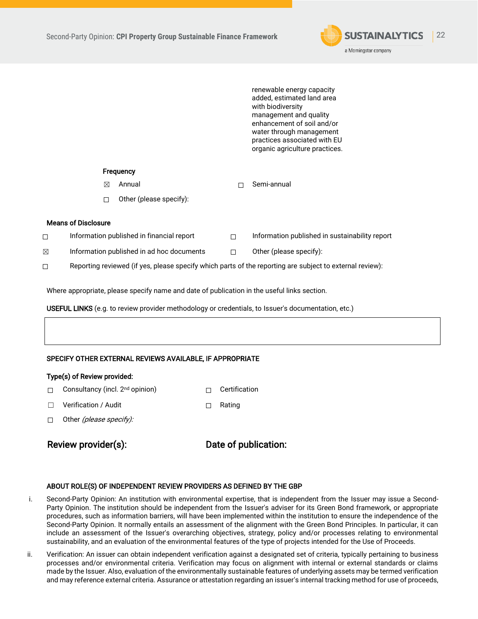

renewable energy capacity added, estimated land area with biodiversity management and quality enhancement of soil and/or water through management practices associated with EU organic agriculture practices.

### **Frequency**

- ☒ Annual ☐ Semi-annual
- ☐ Other (please specify):

## Means of Disclosure

- ☐ Information published in financial report ☐ Information published in sustainability report
- $\boxtimes$  Information published in ad hoc documents  $\Box$  Other (please specify):
	-

☐ Reporting reviewed (if yes, please specify which parts of the reporting are subject to external review):

Where appropriate, please specify name and date of publication in the useful links section.

USEFUL LINKS (e.g. to review provider methodology or credentials, to Issuer's documentation, etc.)

## SPECIFY OTHER EXTERNAL REVIEWS AVAILABLE, IF APPROPRIATE

### Type(s) of Review provided:

- ☐ Consultancy (incl. 2nd opinion) ☐ Certification
- ☐ Verification / Audit ☐ Rating
- □ Other *(please specify):*

Review provider(s): Date of publication:

### ABOUT ROLE(S) OF INDEPENDENT REVIEW PROVIDERS AS DEFINED BY THE GBP

- i. Second-Party Opinion: An institution with environmental expertise, that is independent from the Issuer may issue a Second-Party Opinion. The institution should be independent from the Issuer's adviser for its Green Bond framework, or appropriate procedures, such as information barriers, will have been implemented within the institution to ensure the independence of the Second-Party Opinion. It normally entails an assessment of the alignment with the Green Bond Principles. In particular, it can include an assessment of the Issuer's overarching objectives, strategy, policy and/or processes relating to environmental sustainability, and an evaluation of the environmental features of the type of projects intended for the Use of Proceeds.
- ii. Verification: An issuer can obtain independent verification against a designated set of criteria, typically pertaining to business processes and/or environmental criteria. Verification may focus on alignment with internal or external standards or claims made by the Issuer. Also, evaluation of the environmentally sustainable features of underlying assets may be termed verification and may reference external criteria. Assurance or attestation regarding an issuer's internal tracking method for use of proceeds,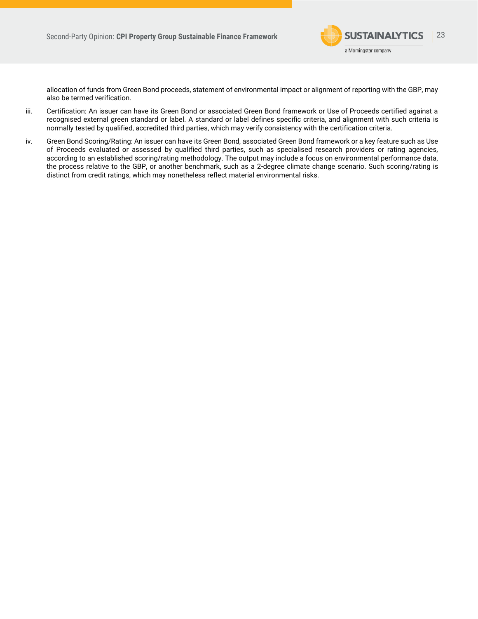

allocation of funds from Green Bond proceeds, statement of environmental impact or alignment of reporting with the GBP, may also be termed verification.

- iii. Certification: An issuer can have its Green Bond or associated Green Bond framework or Use of Proceeds certified against a recognised external green standard or label. A standard or label defines specific criteria, and alignment with such criteria is normally tested by qualified, accredited third parties, which may verify consistency with the certification criteria.
- iv. Green Bond Scoring/Rating: An issuer can have its Green Bond, associated Green Bond framework or a key feature such as Use of Proceeds evaluated or assessed by qualified third parties, such as specialised research providers or rating agencies, according to an established scoring/rating methodology. The output may include a focus on environmental performance data, the process relative to the GBP, or another benchmark, such as a 2-degree climate change scenario. Such scoring/rating is distinct from credit ratings, which may nonetheless reflect material environmental risks.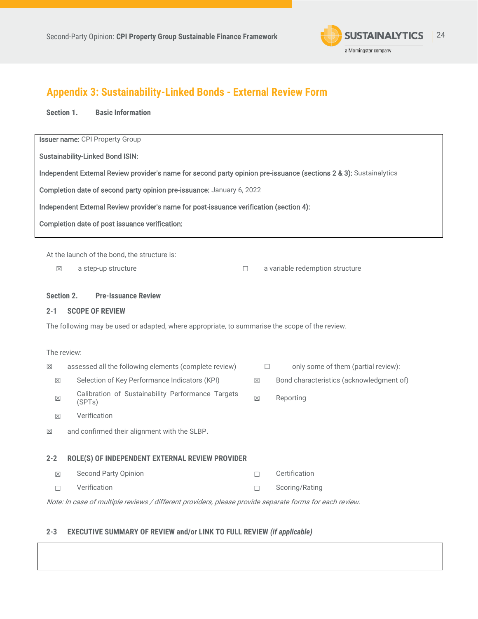

# <span id="page-23-0"></span>**Appendix 3: Sustainability-Linked Bonds - External Review Form**

**Section 1. Basic Information**

**Issuer name: CPI Property Group** 

Sustainability-Linked Bond ISIN:

| Independent External Review provider's name for second party opinion pre-issuance (sections 2 & 3): Sustainalytics |  |  |  |  |
|--------------------------------------------------------------------------------------------------------------------|--|--|--|--|
|--------------------------------------------------------------------------------------------------------------------|--|--|--|--|

Completion date of second party opinion pre-issuance: January 6, 2022

Independent External Review provider's name for post-issuance verification (section 4):

Completion date of post issuance verification:

At the launch of the bond, the structure is:

☒ a step-up structure ☐ a variable redemption structure

## **Section 2. Pre-Issuance Review**

# **2-1 SCOPE OF REVIEW**

The following may be used or adapted, where appropriate, to summarise the scope of the review.

| The review: |                                                                                                         |             |                                               |
|-------------|---------------------------------------------------------------------------------------------------------|-------------|-----------------------------------------------|
| $\boxtimes$ | assessed all the following elements (complete review)                                                   |             | only some of them (partial review):<br>$\Box$ |
| $\boxtimes$ | Selection of Key Performance Indicators (KPI)                                                           | $\boxtimes$ | Bond characteristics (acknowledgment of)      |
| $\boxtimes$ | Calibration of Sustainability Performance Targets<br>(SPTs)                                             | $\boxtimes$ | Reporting                                     |
| $\boxtimes$ | Verification                                                                                            |             |                                               |
| $\boxtimes$ | and confirmed their alignment with the SLBP.                                                            |             |                                               |
| $2 - 2$     | ROLE(S) OF INDEPENDENT EXTERNAL REVIEW PROVIDER                                                         |             |                                               |
| $\boxtimes$ | <b>Second Party Opinion</b>                                                                             |             | Certification                                 |
| П           | Verification                                                                                            | П           | Scoring/Rating                                |
|             | Note: In case of multiple reviews / different providers, please provide separate forms for each review. |             |                                               |

# **2-3 EXECUTIVE SUMMARY OF REVIEW and/or LINK TO FULL REVIEW** *(if applicable)*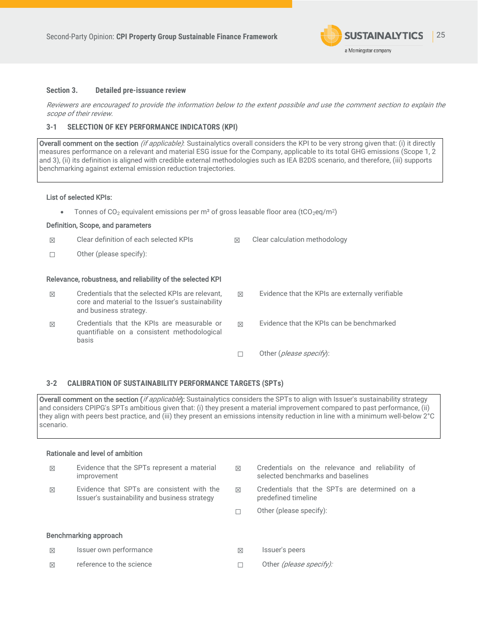

## **Section 3. Detailed pre-issuance review**

Reviewers are encouraged to provide the information below to the extent possible and use the comment section to explain the scope of their review.

### **3-1 SELECTION OF KEY PERFORMANCE INDICATORS (KPI)**

Overall comment on the section (if applicable): Sustainalytics overall considers the KPI to be very strong given that: (i) it directly measures performance on a relevant and material ESG issue for the Company, applicable to its total GHG emissions (Scope 1, 2 and 3), (ii) its definition is aligned with credible external methodologies such as IEA B2DS scenario, and therefore, (iii) supports benchmarking against external emission reduction trajectories.

#### List of selected KPIs:

• Tonnes of  $CO<sub>2</sub>$  equivalent emissions per m<sup>2</sup> of gross leasable floor area (tCO<sub>2</sub>eq/m<sup>2</sup>)

### Definition, Scope, and parameters

| 区           | Clear definition of each selected KPIs                                                                                         | $\boxtimes$ | Clear calculation methodology                    |
|-------------|--------------------------------------------------------------------------------------------------------------------------------|-------------|--------------------------------------------------|
|             | Other (please specify):                                                                                                        |             |                                                  |
|             | Relevance, robustness, and reliability of the selected KPI                                                                     |             |                                                  |
| $\boxtimes$ | Credentials that the selected KPIs are relevant.<br>core and material to the Issuer's sustainability<br>and business strategy. | X           | Evidence that the KPIs are externally verifiable |
| 区           | Credentials that the KPIs are measurable or<br>quantifiable on a consistent methodological<br>basis                            | X           | Evidence that the KPIs can be benchmarked        |
|             |                                                                                                                                |             | Other ( <i>please specify</i> ):                 |

### **3-2 CALIBRATION OF SUSTAINABILITY PERFORMANCE TARGETS (SPTs)**

Overall comment on the section (if applicable): Sustainalytics considers the SPTs to align with Issuer's sustainability strategy and considers CPIPG's SPTs ambitious given that: (i) they present a material improvement compared to past performance, (ii) they align with peers best practice, and (iii) they present an emissions intensity reduction in line with a minimum well-below 2°C scenario.

## Rationale and level of ambition

| $\boxtimes$ | Evidence that the SPTs represent a material<br>improvement                                  | $\boxtimes$ | Credentials on the relevance and reliability of<br>selected benchmarks and baselines |
|-------------|---------------------------------------------------------------------------------------------|-------------|--------------------------------------------------------------------------------------|
| $\boxtimes$ | Evidence that SPTs are consistent with the<br>Issuer's sustainability and business strategy | 区           | Credentials that the SPTs are determined on a<br>predefined timeline                 |
|             |                                                                                             | г           | Other (please specify):                                                              |
|             | Benchmarking approach                                                                       |             |                                                                                      |
| $\boxtimes$ | Issuer own performance                                                                      | 区           | Issuer's peers                                                                       |
| $\boxtimes$ | reference to the science                                                                    |             | Other (please specify):                                                              |
|             |                                                                                             |             |                                                                                      |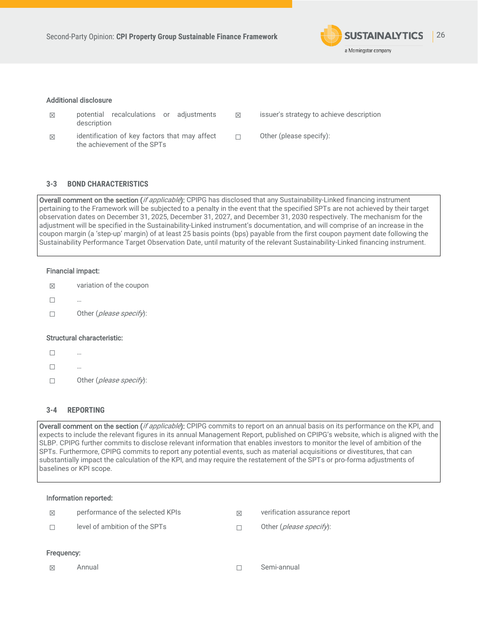

### Additional disclosure

- $\boxtimes$  potential recalculations or adjustments description
- ☒ identification of key factors that may affect the achievement of the SPTs
- ☒ issuer's strategy to achieve description
- ☐ Other (please specify):

## **3-3 BOND CHARACTERISTICS**

Overall comment on the section (*if applicable*): CPIPG has disclosed that any Sustainability-Linked financing instrument pertaining to the Framework will be subjected to a penalty in the event that the specified SPTs are not achieved by their target observation dates on December 31, 2025, December 31, 2027, and December 31, 2030 respectively. The mechanism for the adjustment will be specified in the Sustainability-Linked instrument's documentation, and will comprise of an increase in the coupon margin (a 'step-up' margin) of at least 25 basis points (bps) payable from the first coupon payment date following the Sustainability Performance Target Observation Date, until maturity of the relevant Sustainability-Linked financing instrument.

### Financial impact:

- $\boxtimes$  variation of the coupon
- $\Box$
- ☐ Other (please specify):

### Structural characteristic:

- ☐ …
- $\Box$
- ☐ Other (please specify):

## **3-4 REPORTING**

Overall comment on the section (*if applicable*): CPIPG commits to report on an annual basis on its performance on the KPI, and expects to include the relevant figures in its annual Management Report, published on CPIPG's website, which is aligned with the SLBP. CPIPG further commits to disclose relevant information that enables investors to monitor the level of ambition of the SPTs. Furthermore, CPIPG commits to report any potential events, such as material acquisitions or divestitures, that can substantially impact the calculation of the KPI, and may require the restatement of the SPTs or pro-forma adjustments of baselines or KPI scope.

### Information reported:

| level of ambition of the SPTs<br>$\Box$              | Other ( <i>please specify</i> ): |
|------------------------------------------------------|----------------------------------|
| performance of the selected KPIs<br>$\boxtimes$<br>M | verification assurance report    |

#### Frequency:

☒ Annual ☐ Semi-annual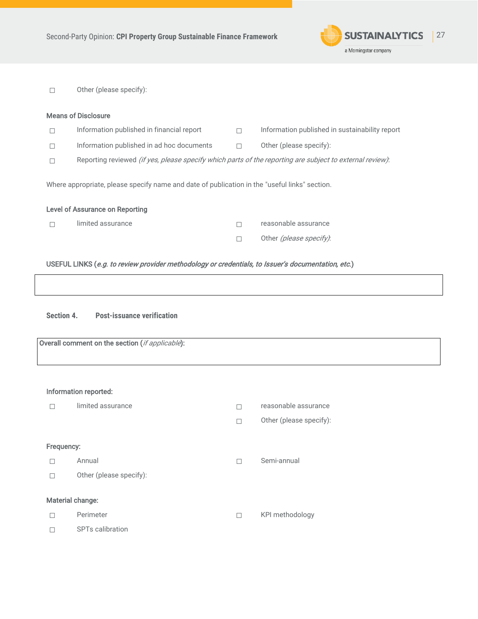

☐ Other (please specify):

| <b>Means of Disclosure</b>                                                                                       |                                           |   |                                                |  |  |
|------------------------------------------------------------------------------------------------------------------|-------------------------------------------|---|------------------------------------------------|--|--|
|                                                                                                                  | Information published in financial report | п | Information published in sustainability report |  |  |
|                                                                                                                  | Information published in ad hoc documents |   | Other (please specify):                        |  |  |
| Reporting reviewed <i>(if yes, please specify which parts of the reporting are subject to external review)</i> : |                                           |   |                                                |  |  |
| Where appropriate, please specify name and date of publication in the "useful links" section.                    |                                           |   |                                                |  |  |
| <b>Level of Assurance on Reporting</b>                                                                           |                                           |   |                                                |  |  |

☐ limited assurance ☐ reasonable assurance

□ Other (please specify):

# USEFUL LINKS (e.g. to review provider methodology or credentials, to Issuer's documentation, etc.)

**Section 4. Post-issuance verification**

Overall comment on the section (if applicable):

## Information reported:

|            | limited assurance       | reasonable assurance    |
|------------|-------------------------|-------------------------|
|            |                         | Other (please specify): |
| Frequency: |                         |                         |
|            | Annual                  | Semi-annual             |
| П          | Other (please specify): |                         |
|            | Material change:        |                         |
|            | Perimeter               | KPI methodology         |
|            | <b>SPTs calibration</b> |                         |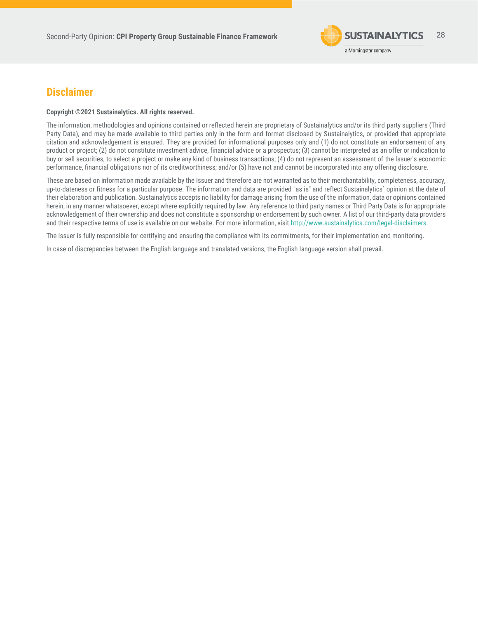

# <span id="page-27-0"></span>**Disclaimer**

#### **Copyright ©2021 Sustainalytics. All rights reserved.**

The information, methodologies and opinions contained or reflected herein are proprietary of Sustainalytics and/or its third party suppliers (Third Party Data), and may be made available to third parties only in the form and format disclosed by Sustainalytics, or provided that appropriate citation and acknowledgement is ensured. They are provided for informational purposes only and (1) do not constitute an endorsement of any product or project; (2) do not constitute investment advice, financial advice or a prospectus; (3) cannot be interpreted as an offer or indication to buy or sell securities, to select a project or make any kind of business transactions; (4) do not represent an assessment of the Issuer's economic performance, financial obligations nor of its creditworthiness; and/or (5) have not and cannot be incorporated into any offering disclosure.

These are based on information made available by the Issuer and therefore are not warranted as to their merchantability, completeness, accuracy, up-to-dateness or fitness for a particular purpose. The information and data are provided "as is" and reflect Sustainalytics` opinion at the date of their elaboration and publication. Sustainalytics accepts no liability for damage arising from the use of the information, data or opinions contained herein, in any manner whatsoever, except where explicitly required by law. Any reference to third party names or Third Party Data is for appropriate acknowledgement of their ownership and does not constitute a sponsorship or endorsement by such owner. A list of our third-party data providers and their respective terms of use is available on our website. For more information, visi[t http://www.sustainalytics.com/legal-disclaimers.](http://www.sustainalytics.com/legal-disclaimers)

The Issuer is fully responsible for certifying and ensuring the compliance with its commitments, for their implementation and monitoring.

In case of discrepancies between the English language and translated versions, the English language version shall prevail.